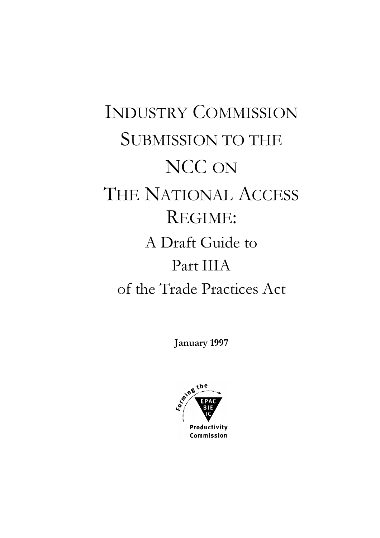# **INDUSTRY COMMISSION SUBMISSION TO THE** NCC ON THE NATIONAL ACCESS REGIME: A Draft Guide to Part IIIA of the Trade Practices Act

January 1997

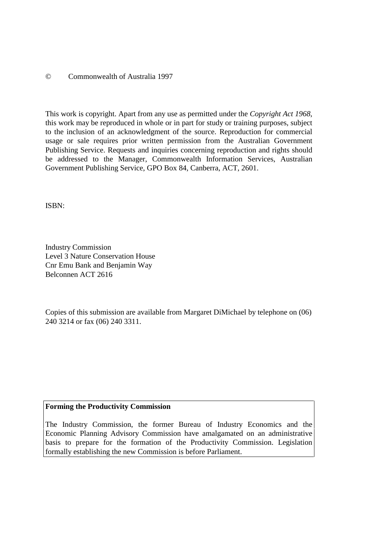© Commonwealth of Australia 1997

This work is copyright. Apart from any use as permitted under the *Copyright Act 1968*, this work may be reproduced in whole or in part for study or training purposes, subject to the inclusion of an acknowledgment of the source. Reproduction for commercial usage or sale requires prior written permission from the Australian Government Publishing Service. Requests and inquiries concerning reproduction and rights should be addressed to the Manager, Commonwealth Information Services, Australian Government Publishing Service, GPO Box 84, Canberra, ACT, 2601.

ISBN:

Industry Commission Level 3 Nature Conservation House Cnr Emu Bank and Benjamin Way Belconnen ACT 2616

Copies of this submission are available from Margaret DiMichael by telephone on (06) 240 3214 or fax (06) 240 3311.

#### **Forming the Productivity Commission**

The Industry Commission, the former Bureau of Industry Economics and the Economic Planning Advisory Commission have amalgamated on an administrative basis to prepare for the formation of the Productivity Commission. Legislation formally establishing the new Commission is before Parliament.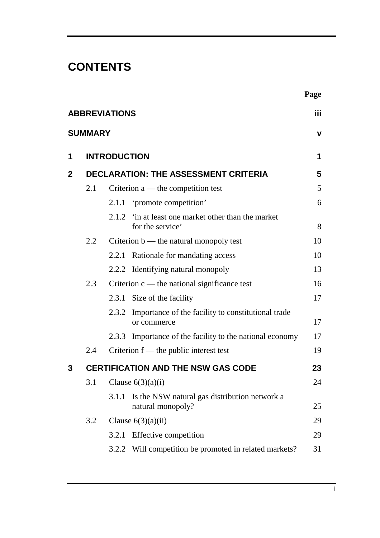# **CONTENTS**

|                      |                                             |                                           |                                                                         | Page        |  |  |  |
|----------------------|---------------------------------------------|-------------------------------------------|-------------------------------------------------------------------------|-------------|--|--|--|
| <b>ABBREVIATIONS</b> |                                             |                                           |                                                                         |             |  |  |  |
|                      | <b>SUMMARY</b>                              |                                           |                                                                         | $\mathbf v$ |  |  |  |
| 1                    |                                             | <b>INTRODUCTION</b>                       |                                                                         | 1           |  |  |  |
| $\mathbf{2}$         | <b>DECLARATION: THE ASSESSMENT CRITERIA</b> |                                           |                                                                         |             |  |  |  |
|                      | 2.1                                         | Criterion $a$ — the competition test      |                                                                         |             |  |  |  |
|                      |                                             |                                           | 2.1.1 'promote competition'                                             | 6           |  |  |  |
|                      |                                             |                                           | 2.1.2 'in at least one market other than the market<br>for the service' | 8           |  |  |  |
|                      | 2.2                                         | Criterion $b$ — the natural monopoly test |                                                                         |             |  |  |  |
|                      |                                             |                                           | 2.2.1 Rationale for mandating access                                    | 10          |  |  |  |
|                      |                                             |                                           | 2.2.2 Identifying natural monopoly                                      | 13          |  |  |  |
|                      | 2.3                                         |                                           | Criterion $c$ — the national significance test                          | 16          |  |  |  |
|                      |                                             |                                           | 2.3.1 Size of the facility                                              | 17          |  |  |  |
|                      |                                             |                                           | 2.3.2 Importance of the facility to constitutional trade<br>or commerce | 17          |  |  |  |
|                      |                                             | 2.3.3                                     | Importance of the facility to the national economy                      | 17          |  |  |  |
|                      | 2.4                                         |                                           | Criterion $f$ — the public interest test                                | 19          |  |  |  |
| 3                    |                                             |                                           | <b>CERTIFICATION AND THE NSW GAS CODE</b>                               | 23          |  |  |  |
|                      | 3.1                                         | Clause $6(3)(a)(i)$                       |                                                                         |             |  |  |  |
|                      |                                             | 3.1.1                                     | Is the NSW natural gas distribution network a<br>natural monopoly?      | 25          |  |  |  |
|                      | 3.2                                         | Clause $6(3)(a)(ii)$                      |                                                                         |             |  |  |  |
|                      |                                             | 3.2.1                                     | Effective competition                                                   | 29          |  |  |  |
|                      |                                             |                                           | 3.2.2 Will competition be promoted in related markets?                  | 31          |  |  |  |
|                      |                                             |                                           |                                                                         |             |  |  |  |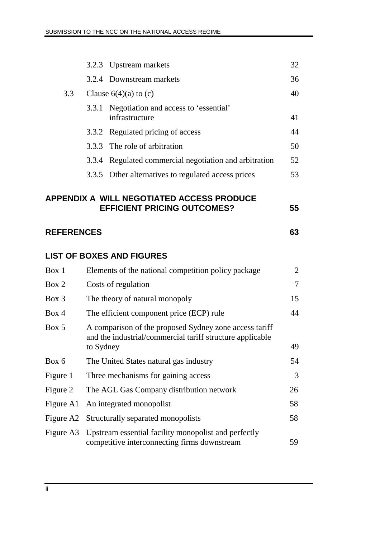|                                                                                              |                                                                                                                                  | 3.2.3 Upstream markets                                                                               | 32             |  |  |  |  |  |  |
|----------------------------------------------------------------------------------------------|----------------------------------------------------------------------------------------------------------------------------------|------------------------------------------------------------------------------------------------------|----------------|--|--|--|--|--|--|
|                                                                                              |                                                                                                                                  | 3.2.4 Downstream markets                                                                             | 36             |  |  |  |  |  |  |
| 3.3                                                                                          | Clause $6(4)(a)$ to (c)                                                                                                          |                                                                                                      |                |  |  |  |  |  |  |
|                                                                                              | 3.3.1                                                                                                                            | Negotiation and access to 'essential'<br>infrastructure                                              | 41             |  |  |  |  |  |  |
|                                                                                              |                                                                                                                                  | 3.3.2 Regulated pricing of access                                                                    | 44             |  |  |  |  |  |  |
|                                                                                              |                                                                                                                                  | 3.3.3 The role of arbitration                                                                        | 50             |  |  |  |  |  |  |
|                                                                                              | 3.3.4                                                                                                                            | Regulated commercial negotiation and arbitration                                                     | 52             |  |  |  |  |  |  |
|                                                                                              | 3.3.5                                                                                                                            | Other alternatives to regulated access prices                                                        | 53             |  |  |  |  |  |  |
| <b>APPENDIX A WILL NEGOTIATED ACCESS PRODUCE</b><br><b>EFFICIENT PRICING OUTCOMES?</b><br>55 |                                                                                                                                  |                                                                                                      |                |  |  |  |  |  |  |
| <b>REFERENCES</b><br>63                                                                      |                                                                                                                                  |                                                                                                      |                |  |  |  |  |  |  |
|                                                                                              |                                                                                                                                  | <b>LIST OF BOXES AND FIGURES</b>                                                                     |                |  |  |  |  |  |  |
| Box 1                                                                                        |                                                                                                                                  | Elements of the national competition policy package                                                  | $\overline{2}$ |  |  |  |  |  |  |
| Box 2                                                                                        | Costs of regulation                                                                                                              |                                                                                                      | 7              |  |  |  |  |  |  |
| Box 3                                                                                        | The theory of natural monopoly<br>15                                                                                             |                                                                                                      |                |  |  |  |  |  |  |
| Box 4                                                                                        | The efficient component price (ECP) rule<br>44                                                                                   |                                                                                                      |                |  |  |  |  |  |  |
| Box 5                                                                                        | A comparison of the proposed Sydney zone access tariff<br>and the industrial/commercial tariff structure applicable<br>to Sydney |                                                                                                      |                |  |  |  |  |  |  |
| Box 6                                                                                        |                                                                                                                                  | The United States natural gas industry                                                               | 49<br>54       |  |  |  |  |  |  |
|                                                                                              |                                                                                                                                  |                                                                                                      |                |  |  |  |  |  |  |
| Figure 1                                                                                     |                                                                                                                                  | Three mechanisms for gaining access                                                                  | 3              |  |  |  |  |  |  |
| Figure 2                                                                                     |                                                                                                                                  | The AGL Gas Company distribution network                                                             | 26             |  |  |  |  |  |  |
| Figure A1                                                                                    |                                                                                                                                  | An integrated monopolist                                                                             | 58             |  |  |  |  |  |  |
| Figure A2                                                                                    |                                                                                                                                  | Structurally separated monopolists                                                                   | 58             |  |  |  |  |  |  |
| Figure A3                                                                                    |                                                                                                                                  | Upstream essential facility monopolist and perfectly<br>competitive interconnecting firms downstream | 59             |  |  |  |  |  |  |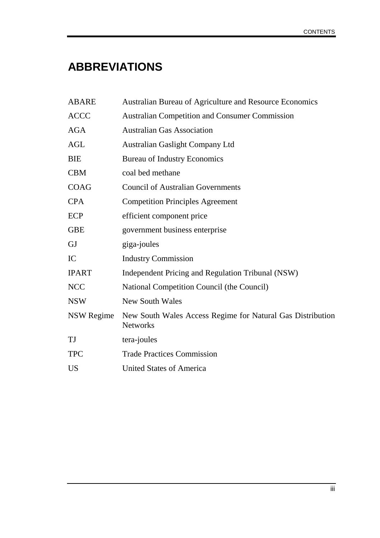# **ABBREVIATIONS**

| <b>ABARE</b>      | Australian Bureau of Agriculture and Resource Economics                       |
|-------------------|-------------------------------------------------------------------------------|
| <b>ACCC</b>       | <b>Australian Competition and Consumer Commission</b>                         |
| <b>AGA</b>        | <b>Australian Gas Association</b>                                             |
| AGL               | <b>Australian Gaslight Company Ltd</b>                                        |
| <b>BIE</b>        | <b>Bureau of Industry Economics</b>                                           |
| <b>CBM</b>        | coal bed methane                                                              |
| <b>COAG</b>       | <b>Council of Australian Governments</b>                                      |
| <b>CPA</b>        | <b>Competition Principles Agreement</b>                                       |
| ECP               | efficient component price                                                     |
| <b>GBE</b>        | government business enterprise                                                |
| GJ                | giga-joules                                                                   |
| IC                | <b>Industry Commission</b>                                                    |
| <b>IPART</b>      | Independent Pricing and Regulation Tribunal (NSW)                             |
| <b>NCC</b>        | National Competition Council (the Council)                                    |
| <b>NSW</b>        | <b>New South Wales</b>                                                        |
| <b>NSW Regime</b> | New South Wales Access Regime for Natural Gas Distribution<br><b>Networks</b> |
| TJ                | tera-joules                                                                   |
| <b>TPC</b>        | <b>Trade Practices Commission</b>                                             |
| <b>US</b>         | <b>United States of America</b>                                               |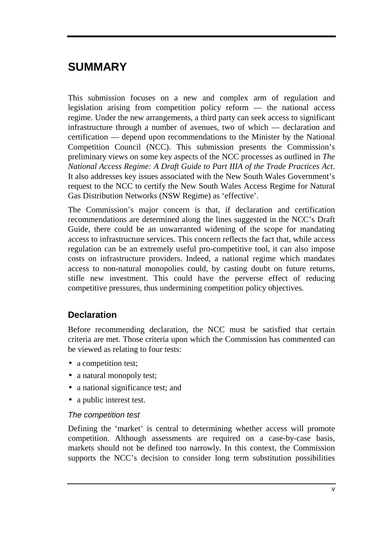# **SUMMARY**

This submission focuses on a new and complex arm of regulation and legislation arising from competition policy reform — the national access regime. Under the new arrangements, a third party can seek access to significant infrastructure through a number of avenues, two of which — declaration and certification — depend upon recommendations to the Minister by the National Competition Council (NCC). This submission presents the Commission's preliminary views on some key aspects of the NCC processes as outlined in *The National Access Regime: A Draft Guide to Part IIIA of the Trade Practices Act*. It also addresses key issues associated with the New South Wales Government's request to the NCC to certify the New South Wales Access Regime for Natural Gas Distribution Networks (NSW Regime) as 'effective'.

The Commission's major concern is that, if declaration and certification recommendations are determined along the lines suggested in the NCC's Draft Guide, there could be an unwarranted widening of the scope for mandating access to infrastructure services. This concern reflects the fact that, while access regulation can be an extremely useful pro-competitive tool, it can also impose costs on infrastructure providers. Indeed, a national regime which mandates access to non-natural monopolies could, by casting doubt on future returns, stifle new investment. This could have the perverse effect of reducing competitive pressures, thus undermining competition policy objectives.

## **Declaration**

Before recommending declaration, the NCC must be satisfied that certain criteria are met. Those criteria upon which the Commission has commented can be viewed as relating to four tests:

- a competition test;
- a natural monopoly test;
- a national significance test; and
- a public interest test.

#### The competition test

Defining the 'market' is central to determining whether access will promote competition. Although assessments are required on a case-by-case basis, markets should not be defined too narrowly. In this context, the Commission supports the NCC's decision to consider long term substitution possibilities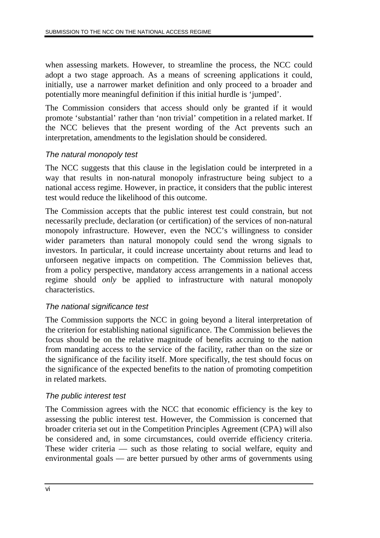when assessing markets. However, to streamline the process, the NCC could adopt a two stage approach. As a means of screening applications it could, initially, use a narrower market definition and only proceed to a broader and potentially more meaningful definition if this initial hurdle is 'jumped'.

The Commission considers that access should only be granted if it would promote 'substantial' rather than 'non trivial' competition in a related market. If the NCC believes that the present wording of the Act prevents such an interpretation, amendments to the legislation should be considered.

#### The natural monopoly test

The NCC suggests that this clause in the legislation could be interpreted in a way that results in non-natural monopoly infrastructure being subject to a national access regime. However, in practice, it considers that the public interest test would reduce the likelihood of this outcome.

The Commission accepts that the public interest test could constrain, but not necessarily preclude, declaration (or certification) of the services of non-natural monopoly infrastructure. However, even the NCC's willingness to consider wider parameters than natural monopoly could send the wrong signals to investors. In particular, it could increase uncertainty about returns and lead to unforseen negative impacts on competition. The Commission believes that, from a policy perspective, mandatory access arrangements in a national access regime should *only* be applied to infrastructure with natural monopoly characteristics.

#### The national significance test

The Commission supports the NCC in going beyond a literal interpretation of the criterion for establishing national significance. The Commission believes the focus should be on the relative magnitude of benefits accruing to the nation from mandating access to the service of the facility, rather than on the size or the significance of the facility itself. More specifically, the test should focus on the significance of the expected benefits to the nation of promoting competition in related markets.

#### The public interest test

The Commission agrees with the NCC that economic efficiency is the key to assessing the public interest test. However, the Commission is concerned that broader criteria set out in the Competition Principles Agreement (CPA) will also be considered and, in some circumstances, could override efficiency criteria. These wider criteria — such as those relating to social welfare, equity and environmental goals — are better pursued by other arms of governments using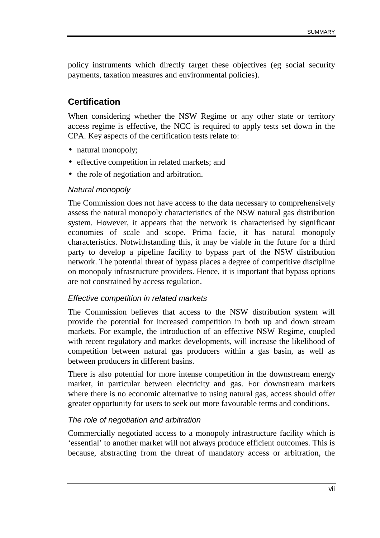policy instruments which directly target these objectives (eg social security payments, taxation measures and environmental policies).

### **Certification**

When considering whether the NSW Regime or any other state or territory access regime is effective, the NCC is required to apply tests set down in the CPA. Key aspects of the certification tests relate to:

- natural monopoly;
- effective competition in related markets; and
- the role of negotiation and arbitration.

#### Natural monopoly

The Commission does not have access to the data necessary to comprehensively assess the natural monopoly characteristics of the NSW natural gas distribution system. However, it appears that the network is characterised by significant economies of scale and scope. Prima facie, it has natural monopoly characteristics. Notwithstanding this, it may be viable in the future for a third party to develop a pipeline facility to bypass part of the NSW distribution network. The potential threat of bypass places a degree of competitive discipline on monopoly infrastructure providers. Hence, it is important that bypass options are not constrained by access regulation.

#### Effective competition in related markets

The Commission believes that access to the NSW distribution system will provide the potential for increased competition in both up and down stream markets. For example, the introduction of an effective NSW Regime, coupled with recent regulatory and market developments, will increase the likelihood of competition between natural gas producers within a gas basin, as well as between producers in different basins.

There is also potential for more intense competition in the downstream energy market, in particular between electricity and gas. For downstream markets where there is no economic alternative to using natural gas, access should offer greater opportunity for users to seek out more favourable terms and conditions.

#### The role of negotiation and arbitration

Commercially negotiated access to a monopoly infrastructure facility which is 'essential' to another market will not always produce efficient outcomes. This is because, abstracting from the threat of mandatory access or arbitration, the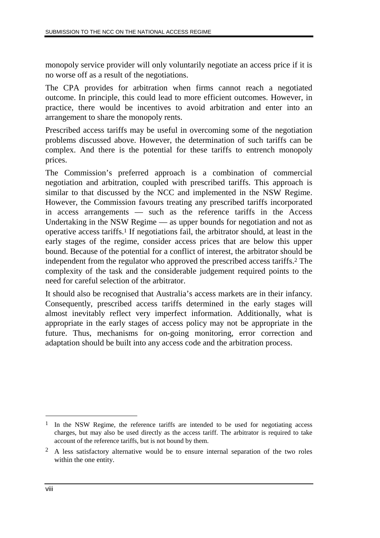monopoly service provider will only voluntarily negotiate an access price if it is no worse off as a result of the negotiations.

The CPA provides for arbitration when firms cannot reach a negotiated outcome. In principle, this could lead to more efficient outcomes. However, in practice, there would be incentives to avoid arbitration and enter into an arrangement to share the monopoly rents.

Prescribed access tariffs may be useful in overcoming some of the negotiation problems discussed above. However, the determination of such tariffs can be complex. And there is the potential for these tariffs to entrench monopoly prices.

The Commission's preferred approach is a combination of commercial negotiation and arbitration, coupled with prescribed tariffs. This approach is similar to that discussed by the NCC and implemented in the NSW Regime. However, the Commission favours treating any prescribed tariffs incorporated in access arrangements — such as the reference tariffs in the Access Undertaking in the NSW Regime — as upper bounds for negotiation and not as operative access tariffs.1 If negotiations fail, the arbitrator should, at least in the early stages of the regime, consider access prices that are below this upper bound. Because of the potential for a conflict of interest, the arbitrator should be independent from the regulator who approved the prescribed access tariffs.2 The complexity of the task and the considerable judgement required points to the need for careful selection of the arbitrator.

It should also be recognised that Australia's access markets are in their infancy. Consequently, prescribed access tariffs determined in the early stages will almost inevitably reflect very imperfect information. Additionally, what is appropriate in the early stages of access policy may not be appropriate in the future. Thus, mechanisms for on-going monitoring, error correction and adaptation should be built into any access code and the arbitration process.

<sup>&</sup>lt;sup>1</sup> In the NSW Regime, the reference tariffs are intended to be used for negotiating access charges, but may also be used directly as the access tariff. The arbitrator is required to take account of the reference tariffs, but is not bound by them.

<sup>2</sup> A less satisfactory alternative would be to ensure internal separation of the two roles within the one entity.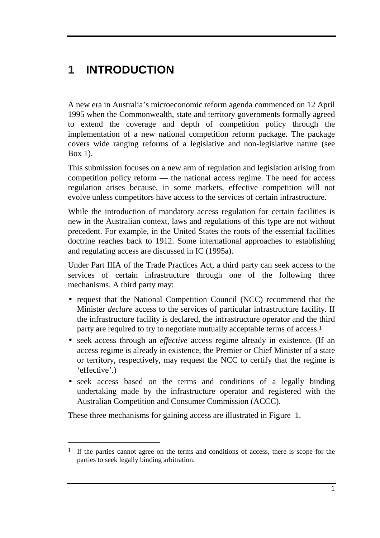# **1 INTRODUCTION**

A new era in Australia's microeconomic reform agenda commenced on 12 April 1995 when the Commonwealth, state and territory governments formally agreed to extend the coverage and depth of competition policy through the implementation of a new national competition reform package. The package covers wide ranging reforms of a legislative and non-legislative nature (see Box 1).

This submission focuses on a new arm of regulation and legislation arising from competition policy reform — the national access regime. The need for access regulation arises because, in some markets, effective competition will not evolve unless competitors have access to the services of certain infrastructure.

While the introduction of mandatory access regulation for certain facilities is new in the Australian context, laws and regulations of this type are not without precedent. For example, in the United States the roots of the essential facilities doctrine reaches back to 1912. Some international approaches to establishing and regulating access are discussed in IC (1995a).

Under Part IIIA of the Trade Practices Act, a third party can seek access to the services of certain infrastructure through one of the following three mechanisms. A third party may:

- request that the National Competition Council (NCC) recommend that the Minister *declare* access to the services of particular infrastructure facility. If the infrastructure facility is declared, the infrastructure operator and the third party are required to try to negotiate mutually acceptable terms of access.1
- seek access through an *effective* access regime already in existence. (If an access regime is already in existence, the Premier or Chief Minister of a state or territory, respectively, may request the NCC to certify that the regime is 'effective'.)
- seek access based on the terms and conditions of a legally binding undertaking made by the infrastructure operator and registered with the Australian Competition and Consumer Commission (ACCC).

These three mechanisms for gaining access are illustrated in Figure 1.

-

<sup>1</sup> If the parties cannot agree on the terms and conditions of access, there is scope for the parties to seek legally binding arbitration.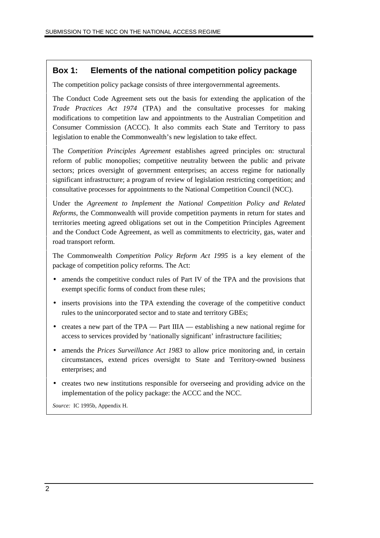#### **Box 1: Elements of the national competition policy package**

The competition policy package consists of three intergovernmental agreements.

The Conduct Code Agreement sets out the basis for extending the application of the *Trade Practices Act 1974* (TPA) and the consultative processes for making modifications to competition law and appointments to the Australian Competition and Consumer Commission (ACCC). It also commits each State and Territory to pass legislation to enable the Commonwealth's new legislation to take effect.

The *Competition Principles Agreement* establishes agreed principles on: structural reform of public monopolies; competitive neutrality between the public and private sectors; prices oversight of government enterprises; an access regime for nationally significant infrastructure; a program of review of legislation restricting competition; and consultative processes for appointments to the National Competition Council (NCC).

Under the *Agreement to Implement the National Competition Policy and Related Reforms*, the Commonwealth will provide competition payments in return for states and territories meeting agreed obligations set out in the Competition Principles Agreement and the Conduct Code Agreement, as well as commitments to electricity, gas, water and road transport reform.

The Commonwealth *Competition Policy Reform Act 1995* is a key element of the package of competition policy reforms. The Act:

- amends the competitive conduct rules of Part IV of the TPA and the provisions that exempt specific forms of conduct from these rules;
- inserts provisions into the TPA extending the coverage of the competitive conduct rules to the unincorporated sector and to state and territory GBEs;
- creates a new part of the TPA Part IIIA establishing a new national regime for access to services provided by 'nationally significant' infrastructure facilities;
- amends the *Prices Surveillance Act 1983* to allow price monitoring and, in certain circumstances, extend prices oversight to State and Territory-owned business enterprises; and
- creates two new institutions responsible for overseeing and providing advice on the implementation of the policy package: the ACCC and the NCC.

*Source:* IC 1995b, Appendix H.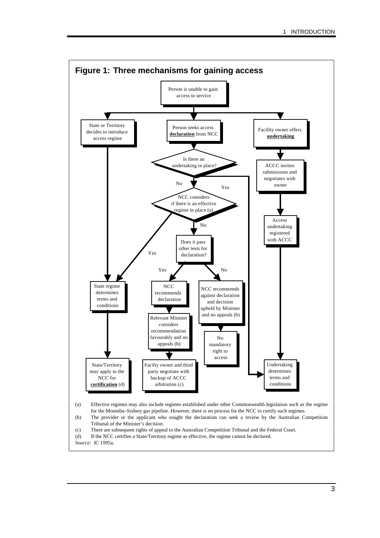

(c) There are subsequent rights of appeal to the Australian Competition Tribunal and the Federal Court.

(d) If the NCC certifies a State/Territory regime as effective, the regime cannot be declared. *Source:* IC 1995a.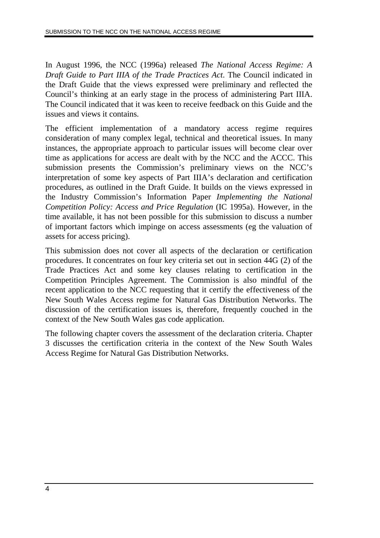In August 1996, the NCC (1996a) released *The National Access Regime: A Draft Guide to Part IIIA of the Trade Practices Act*. The Council indicated in the Draft Guide that the views expressed were preliminary and reflected the Council's thinking at an early stage in the process of administering Part IIIA. The Council indicated that it was keen to receive feedback on this Guide and the issues and views it contains.

The efficient implementation of a mandatory access regime requires consideration of many complex legal, technical and theoretical issues. In many instances, the appropriate approach to particular issues will become clear over time as applications for access are dealt with by the NCC and the ACCC. This submission presents the Commission's preliminary views on the NCC's interpretation of some key aspects of Part IIIA's declaration and certification procedures, as outlined in the Draft Guide. It builds on the views expressed in the Industry Commission's Information Paper *Implementing the National Competition Policy: Access and Price Regulation* (IC 1995a). However, in the time available, it has not been possible for this submission to discuss a number of important factors which impinge on access assessments (eg the valuation of assets for access pricing).

This submission does not cover all aspects of the declaration or certification procedures. It concentrates on four key criteria set out in section 44G (2) of the Trade Practices Act and some key clauses relating to certification in the Competition Principles Agreement. The Commission is also mindful of the recent application to the NCC requesting that it certify the effectiveness of the New South Wales Access regime for Natural Gas Distribution Networks. The discussion of the certification issues is, therefore, frequently couched in the context of the New South Wales gas code application.

The following chapter covers the assessment of the declaration criteria. Chapter 3 discusses the certification criteria in the context of the New South Wales Access Regime for Natural Gas Distribution Networks.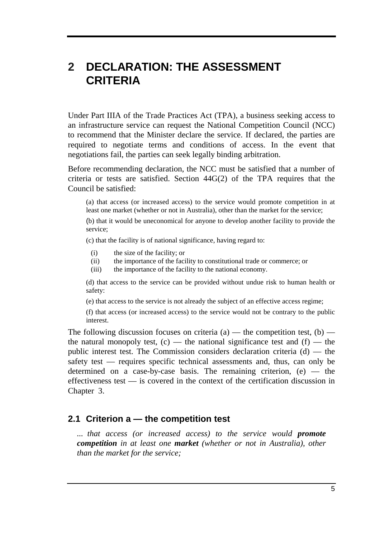## **2 DECLARATION: THE ASSESSMENT CRITERIA**

Under Part IIIA of the Trade Practices Act (TPA), a business seeking access to an infrastructure service can request the National Competition Council (NCC) to recommend that the Minister declare the service. If declared, the parties are required to negotiate terms and conditions of access. In the event that negotiations fail, the parties can seek legally binding arbitration.

Before recommending declaration, the NCC must be satisfied that a number of criteria or tests are satisfied. Section 44G(2) of the TPA requires that the Council be satisfied:

(a) that access (or increased access) to the service would promote competition in at least one market (whether or not in Australia), other than the market for the service;

(b) that it would be uneconomical for anyone to develop another facility to provide the service;

(c) that the facility is of national significance, having regard to:

- (i) the size of the facility; or
- (ii) the importance of the facility to constitutional trade or commerce; or
- (iii) the importance of the facility to the national economy.

(d) that access to the service can be provided without undue risk to human health or safety:

(e) that access to the service is not already the subject of an effective access regime;

(f) that access (or increased access) to the service would not be contrary to the public interest.

The following discussion focuses on criteria (a) — the competition test, (b) the natural monopoly test,  $(c)$  — the national significance test and  $(f)$  — the public interest test. The Commission considers declaration criteria  $(d)$  — the safety test — requires specific technical assessments and, thus, can only be determined on a case-by-case basis. The remaining criterion,  $(e)$  — the effectiveness test — is covered in the context of the certification discussion in Chapter 3.

#### **2.1 Criterion a — the competition test**

*... that access (or increased access) to the service would promote competition in at least one market (whether or not in Australia), other than the market for the service;*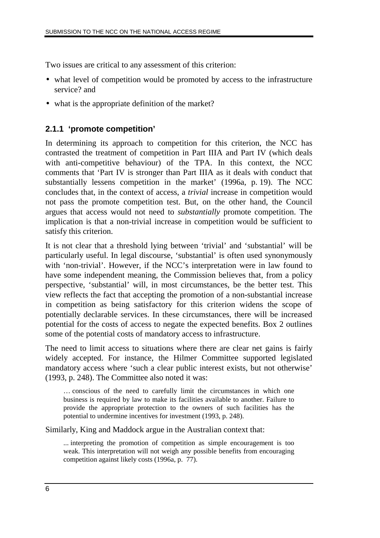Two issues are critical to any assessment of this criterion:

- what level of competition would be promoted by access to the infrastructure service? and
- what is the appropriate definition of the market?

#### **2.1.1 'promote competition'**

In determining its approach to competition for this criterion, the NCC has contrasted the treatment of competition in Part IIIA and Part IV (which deals with anti-competitive behaviour) of the TPA. In this context, the NCC comments that 'Part IV is stronger than Part IIIA as it deals with conduct that substantially lessens competition in the market' (1996a, p. 19). The NCC concludes that, in the context of access, a *trivial* increase in competition would not pass the promote competition test. But, on the other hand, the Council argues that access would not need to *substantially* promote competition. The implication is that a non-trivial increase in competition would be sufficient to satisfy this criterion.

It is not clear that a threshold lying between 'trivial' and 'substantial' will be particularly useful. In legal discourse, 'substantial' is often used synonymously with 'non-trivial'. However, if the NCC's interpretation were in law found to have some independent meaning, the Commission believes that, from a policy perspective, 'substantial' will, in most circumstances, be the better test. This view reflects the fact that accepting the promotion of a non-substantial increase in competition as being satisfactory for this criterion widens the scope of potentially declarable services. In these circumstances, there will be increased potential for the costs of access to negate the expected benefits. Box 2 outlines some of the potential costs of mandatory access to infrastructure.

The need to limit access to situations where there are clear net gains is fairly widely accepted. For instance, the Hilmer Committee supported legislated mandatory access where 'such a clear public interest exists, but not otherwise' (1993, p. 248). The Committee also noted it was:

… conscious of the need to carefully limit the circumstances in which one business is required by law to make its facilities available to another. Failure to provide the appropriate protection to the owners of such facilities has the potential to undermine incentives for investment (1993, p. 248).

Similarly, King and Maddock argue in the Australian context that:

... interpreting the promotion of competition as simple encouragement is too weak. This interpretation will not weigh any possible benefits from encouraging competition against likely costs (1996a, p. 77).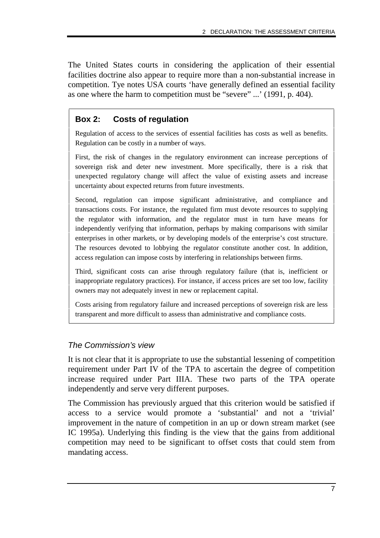The United States courts in considering the application of their essential facilities doctrine also appear to require more than a non-substantial increase in competition. Tye notes USA courts 'have generally defined an essential facility as one where the harm to competition must be "severe" ...' (1991, p. 404).

#### **Box 2: Costs of regulation**

Regulation of access to the services of essential facilities has costs as well as benefits. Regulation can be costly in a number of ways.

First, the risk of changes in the regulatory environment can increase perceptions of sovereign risk and deter new investment. More specifically, there is a risk that unexpected regulatory change will affect the value of existing assets and increase uncertainty about expected returns from future investments.

Second, regulation can impose significant administrative, and compliance and transactions costs. For instance, the regulated firm must devote resources to supplying the regulator with information, and the regulator must in turn have means for independently verifying that information, perhaps by making comparisons with similar enterprises in other markets, or by developing models of the enterprise's cost structure. The resources devoted to lobbying the regulator constitute another cost. In addition, access regulation can impose costs by interfering in relationships between firms.

Third, significant costs can arise through regulatory failure (that is, inefficient or inappropriate regulatory practices). For instance, if access prices are set too low, facility owners may not adequately invest in new or replacement capital.

Costs arising from regulatory failure and increased perceptions of sovereign risk are less transparent and more difficult to assess than administrative and compliance costs.

#### The Commission's view

It is not clear that it is appropriate to use the substantial lessening of competition requirement under Part IV of the TPA to ascertain the degree of competition increase required under Part IIIA. These two parts of the TPA operate independently and serve very different purposes.

The Commission has previously argued that this criterion would be satisfied if access to a service would promote a 'substantial' and not a 'trivial' improvement in the nature of competition in an up or down stream market (see IC 1995a). Underlying this finding is the view that the gains from additional competition may need to be significant to offset costs that could stem from mandating access.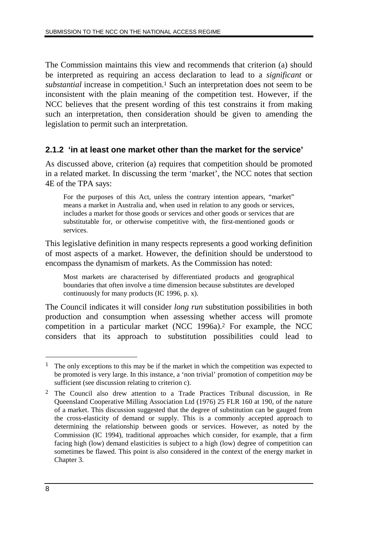The Commission maintains this view and recommends that criterion (a) should be interpreted as requiring an access declaration to lead to a *significant* or *substantial* increase in competition.1 Such an interpretation does not seem to be inconsistent with the plain meaning of the competition test. However, if the NCC believes that the present wording of this test constrains it from making such an interpretation, then consideration should be given to amending the legislation to permit such an interpretation.

#### **2.1.2 'in at least one market other than the market for the service'**

As discussed above, criterion (a) requires that competition should be promoted in a related market. In discussing the term 'market', the NCC notes that section 4E of the TPA says:

For the purposes of this Act, unless the contrary intention appears, "market" means a market in Australia and, when used in relation to any goods or services, includes a market for those goods or services and other goods or services that are substitutable for, or otherwise competitive with, the first-mentioned goods or services.

This legislative definition in many respects represents a good working definition of most aspects of a market. However, the definition should be understood to encompass the dynamism of markets. As the Commission has noted:

Most markets are characterised by differentiated products and geographical boundaries that often involve a time dimension because substitutes are developed continuously for many products (IC 1996, p. x).

The Council indicates it will consider *long run* substitution possibilities in both production and consumption when assessing whether access will promote competition in a particular market (NCC 1996a).2 For example, the NCC considers that its approach to substitution possibilities could lead to

<sup>&</sup>lt;sup>1</sup> The only exceptions to this may be if the market in which the competition was expected to be promoted is very large. In this instance, a 'non trivial' promotion of competition *may* be sufficient (see discussion relating to criterion c).

<sup>2</sup> The Council also drew attention to a Trade Practices Tribunal discussion, in Re Queensland Cooperative Milling Association Ltd (1976) 25 FLR 160 at 190, of the nature of a market. This discussion suggested that the degree of substitution can be gauged from the cross-elasticity of demand or supply. This is a commonly accepted approach to determining the relationship between goods or services. However, as noted by the Commission (IC 1994), traditional approaches which consider, for example, that a firm facing high (low) demand elasticities is subject to a high (low) degree of competition can sometimes be flawed. This point is also considered in the context of the energy market in Chapter 3.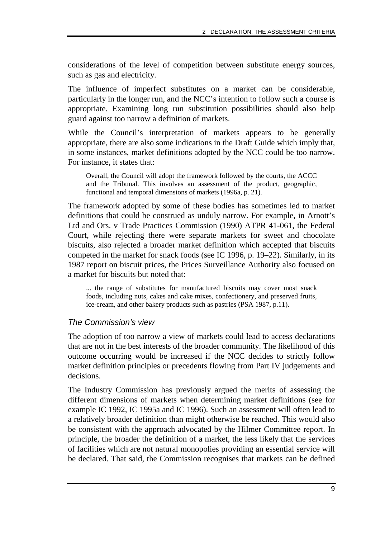considerations of the level of competition between substitute energy sources, such as gas and electricity.

The influence of imperfect substitutes on a market can be considerable, particularly in the longer run, and the NCC's intention to follow such a course is appropriate. Examining long run substitution possibilities should also help guard against too narrow a definition of markets.

While the Council's interpretation of markets appears to be generally appropriate, there are also some indications in the Draft Guide which imply that, in some instances, market definitions adopted by the NCC could be too narrow. For instance, it states that:

Overall, the Council will adopt the framework followed by the courts, the ACCC and the Tribunal. This involves an assessment of the product, geographic, functional and temporal dimensions of markets (1996a, p. 21).

The framework adopted by some of these bodies has sometimes led to market definitions that could be construed as unduly narrow. For example, in Arnott's Ltd and Ors. v Trade Practices Commission (1990) ATPR 41-061, the Federal Court, while rejecting there were separate markets for sweet and chocolate biscuits, also rejected a broader market definition which accepted that biscuits competed in the market for snack foods (see IC 1996, p. 19–22). Similarly, in its 1987 report on biscuit prices, the Prices Surveillance Authority also focused on a market for biscuits but noted that:

... the range of substitutes for manufactured biscuits may cover most snack foods, including nuts, cakes and cake mixes, confectionery, and preserved fruits, ice-cream, and other bakery products such as pastries (PSA 1987, p.11).

#### The Commission's view

The adoption of too narrow a view of markets could lead to access declarations that are not in the best interests of the broader community. The likelihood of this outcome occurring would be increased if the NCC decides to strictly follow market definition principles or precedents flowing from Part IV judgements and decisions.

The Industry Commission has previously argued the merits of assessing the different dimensions of markets when determining market definitions (see for example IC 1992, IC 1995a and IC 1996). Such an assessment will often lead to a relatively broader definition than might otherwise be reached. This would also be consistent with the approach advocated by the Hilmer Committee report. In principle, the broader the definition of a market, the less likely that the services of facilities which are not natural monopolies providing an essential service will be declared. That said, the Commission recognises that markets can be defined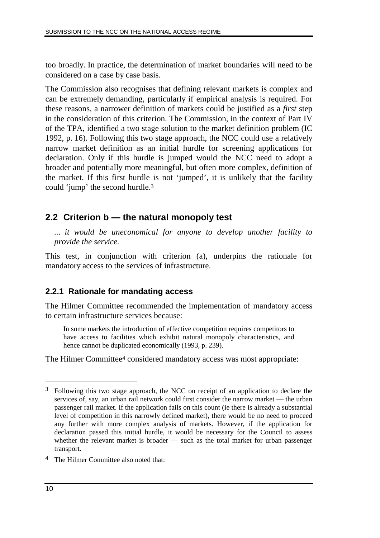too broadly. In practice, the determination of market boundaries will need to be considered on a case by case basis.

The Commission also recognises that defining relevant markets is complex and can be extremely demanding, particularly if empirical analysis is required. For these reasons, a narrower definition of markets could be justified as a *first* step in the consideration of this criterion. The Commission, in the context of Part IV of the TPA, identified a two stage solution to the market definition problem (IC 1992, p. 16). Following this two stage approach, the NCC could use a relatively narrow market definition as an initial hurdle for screening applications for declaration. Only if this hurdle is jumped would the NCC need to adopt a broader and potentially more meaningful, but often more complex, definition of the market. If this first hurdle is not 'jumped', it is unlikely that the facility could 'jump' the second hurdle.3

## **2.2 Criterion b — the natural monopoly test**

*... it would be uneconomical for anyone to develop another facility to provide the service.*

This test, in conjunction with criterion (a), underpins the rationale for mandatory access to the services of infrastructure.

#### **2.2.1 Rationale for mandating access**

The Hilmer Committee recommended the implementation of mandatory access to certain infrastructure services because:

In some markets the introduction of effective competition requires competitors to have access to facilities which exhibit natural monopoly characteristics, and hence cannot be duplicated economically (1993, p. 239).

The Hilmer Committee<sup>4</sup> considered mandatory access was most appropriate:

4 The Hilmer Committee also noted that:

<sup>3</sup> Following this two stage approach, the NCC on receipt of an application to declare the services of, say, an urban rail network could first consider the narrow market — the urban passenger rail market. If the application fails on this count (ie there is already a substantial level of competition in this narrowly defined market), there would be no need to proceed any further with more complex analysis of markets. However, if the application for declaration passed this initial hurdle, it would be necessary for the Council to assess whether the relevant market is broader — such as the total market for urban passenger transport.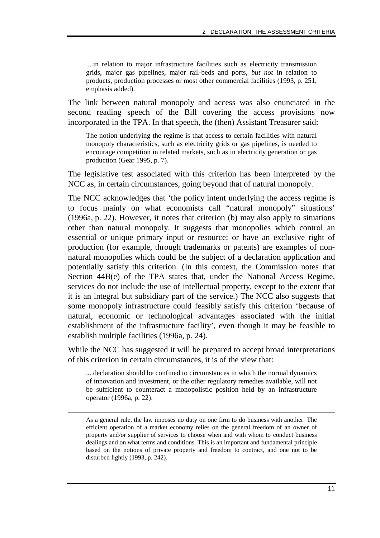... in relation to major infrastructure facilities such as electricity transmission grids, major gas pipelines, major rail-beds and ports, *but not* in relation to products, production processes or most other commercial facilities (1993, p. 251, emphasis added).

The link between natural monopoly and access was also enunciated in the second reading speech of the Bill covering the access provisions now incorporated in the TPA. In that speech, the (then) Assistant Treasurer said:

The notion underlying the regime is that access to certain facilities with natural monopoly characteristics, such as electricity grids or gas pipelines, is needed to encourage competition in related markets, such as in electricity generation or gas production (Gear 1995, p. 7).

The legislative test associated with this criterion has been interpreted by the NCC as, in certain circumstances, going beyond that of natural monopoly.

The NCC acknowledges that 'the policy intent underlying the access regime is to focus mainly on what economists call "natural monopoly" situations' (1996a, p. 22). However, it notes that criterion (b) may also apply to situations other than natural monopoly. It suggests that monopolies which control an essential or unique primary input or resource; or have an exclusive right of production (for example, through trademarks or patents) are examples of nonnatural monopolies which could be the subject of a declaration application and potentially satisfy this criterion. (In this context, the Commission notes that Section 44B(e) of the TPA states that, under the National Access Regime, services do not include the use of intellectual property, except to the extent that it is an integral but subsidiary part of the service.) The NCC also suggests that some monopoly infrastructure could feasibly satisfy this criterion 'because of natural, economic or technological advantages associated with the initial establishment of the infrastructure facility', even though it may be feasible to establish multiple facilities (1996a, p. 24).

While the NCC has suggested it will be prepared to accept broad interpretations of this criterion in certain circumstances, it is of the view that:

... declaration should be confined to circumstances in which the normal dynamics of innovation and investment, or the other regulatory remedies available, will not be sufficient to counteract a monopolistic position held by an infrastructure operator (1996a, p. 22).

As a general rule, the law imposes no duty on one firm to do business with another. The efficient operation of a market economy relies on the general freedom of an owner of property and/or supplier of services to choose when and with whom to conduct business dealings and on what terms and conditions. This is an important and fundamental principle based on the notions of private property and freedom to contract, and one not to be disturbed lightly (1993, p. 242).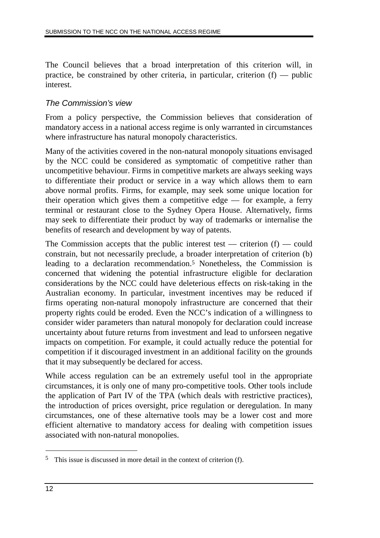The Council believes that a broad interpretation of this criterion will, in practice, be constrained by other criteria, in particular, criterion (f) — public interest.

#### The Commission's view

From a policy perspective, the Commission believes that consideration of mandatory access in a national access regime is only warranted in circumstances where infrastructure has natural monopoly characteristics.

Many of the activities covered in the non-natural monopoly situations envisaged by the NCC could be considered as symptomatic of competitive rather than uncompetitive behaviour. Firms in competitive markets are always seeking ways to differentiate their product or service in a way which allows them to earn above normal profits. Firms, for example, may seek some unique location for their operation which gives them a competitive edge — for example, a ferry terminal or restaurant close to the Sydney Opera House. Alternatively, firms may seek to differentiate their product by way of trademarks or internalise the benefits of research and development by way of patents.

The Commission accepts that the public interest test — criterion  $(f)$  — could constrain, but not necessarily preclude, a broader interpretation of criterion (b) leading to a declaration recommendation.5 Nonetheless, the Commission is concerned that widening the potential infrastructure eligible for declaration considerations by the NCC could have deleterious effects on risk-taking in the Australian economy. In particular, investment incentives may be reduced if firms operating non-natural monopoly infrastructure are concerned that their property rights could be eroded. Even the NCC's indication of a willingness to consider wider parameters than natural monopoly for declaration could increase uncertainty about future returns from investment and lead to unforseen negative impacts on competition. For example, it could actually reduce the potential for competition if it discouraged investment in an additional facility on the grounds that it may subsequently be declared for access.

While access regulation can be an extremely useful tool in the appropriate circumstances, it is only one of many pro-competitive tools. Other tools include the application of Part IV of the TPA (which deals with restrictive practices), the introduction of prices oversight, price regulation or deregulation. In many circumstances, one of these alternative tools may be a lower cost and more efficient alternative to mandatory access for dealing with competition issues associated with non-natural monopolies.

<sup>5</sup> This issue is discussed in more detail in the context of criterion (f).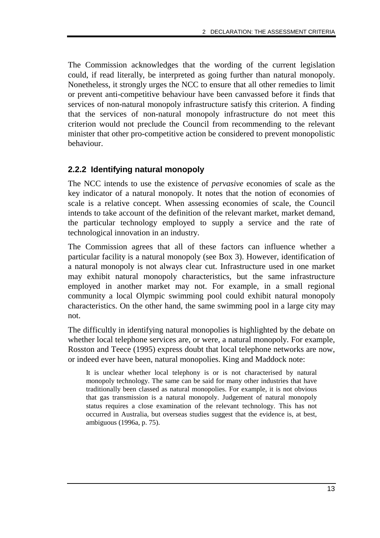The Commission acknowledges that the wording of the current legislation could, if read literally, be interpreted as going further than natural monopoly. Nonetheless, it strongly urges the NCC to ensure that all other remedies to limit or prevent anti-competitive behaviour have been canvassed before it finds that services of non-natural monopoly infrastructure satisfy this criterion. A finding that the services of non-natural monopoly infrastructure do not meet this criterion would not preclude the Council from recommending to the relevant minister that other pro-competitive action be considered to prevent monopolistic behaviour.

#### **2.2.2 Identifying natural monopoly**

The NCC intends to use the existence of *pervasive* economies of scale as the key indicator of a natural monopoly. It notes that the notion of economies of scale is a relative concept. When assessing economies of scale, the Council intends to take account of the definition of the relevant market, market demand, the particular technology employed to supply a service and the rate of technological innovation in an industry.

The Commission agrees that all of these factors can influence whether a particular facility is a natural monopoly (see Box 3). However, identification of a natural monopoly is not always clear cut. Infrastructure used in one market may exhibit natural monopoly characteristics, but the same infrastructure employed in another market may not. For example, in a small regional community a local Olympic swimming pool could exhibit natural monopoly characteristics. On the other hand, the same swimming pool in a large city may not.

The difficultly in identifying natural monopolies is highlighted by the debate on whether local telephone services are, or were, a natural monopoly. For example, Rosston and Teece (1995) express doubt that local telephone networks are now, or indeed ever have been, natural monopolies. King and Maddock note:

It is unclear whether local telephony is or is not characterised by natural monopoly technology. The same can be said for many other industries that have traditionally been classed as natural monopolies. For example, it is not obvious that gas transmission is a natural monopoly. Judgement of natural monopoly status requires a close examination of the relevant technology. This has not occurred in Australia, but overseas studies suggest that the evidence is, at best, ambiguous (1996a, p. 75).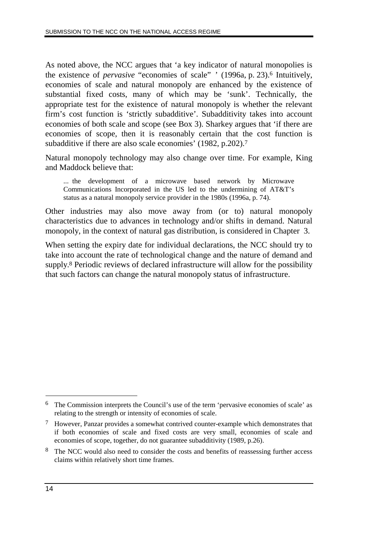As noted above, the NCC argues that 'a key indicator of natural monopolies is the existence of *pervasive* "economies of scale" ' (1996a, p. 23).6 Intuitively, economies of scale and natural monopoly are enhanced by the existence of substantial fixed costs, many of which may be 'sunk'. Technically, the appropriate test for the existence of natural monopoly is whether the relevant firm's cost function is 'strictly subadditive'. Subadditivity takes into account economies of both scale and scope (see Box 3). Sharkey argues that 'if there are economies of scope, then it is reasonably certain that the cost function is subadditive if there are also scale economies' (1982, p.202).<sup>7</sup>

Natural monopoly technology may also change over time. For example, King and Maddock believe that:

... the development of a microwave based network by Microwave Communications Incorporated in the US led to the undermining of AT&T's status as a natural monopoly service provider in the 1980s (1996a, p. 74).

Other industries may also move away from (or to) natural monopoly characteristics due to advances in technology and/or shifts in demand. Natural monopoly, in the context of natural gas distribution, is considered in Chapter 3.

When setting the expiry date for individual declarations, the NCC should try to take into account the rate of technological change and the nature of demand and supply.8 Periodic reviews of declared infrastructure will allow for the possibility that such factors can change the natural monopoly status of infrastructure.

<sup>6</sup> The Commission interprets the Council's use of the term 'pervasive economies of scale' as relating to the strength or intensity of economies of scale.

<sup>7</sup> However, Panzar provides a somewhat contrived counter-example which demonstrates that if both economies of scale and fixed costs are very small, economies of scale and economies of scope, together, do not guarantee subadditivity (1989, p.26).

<sup>8</sup> The NCC would also need to consider the costs and benefits of reassessing further access claims within relatively short time frames.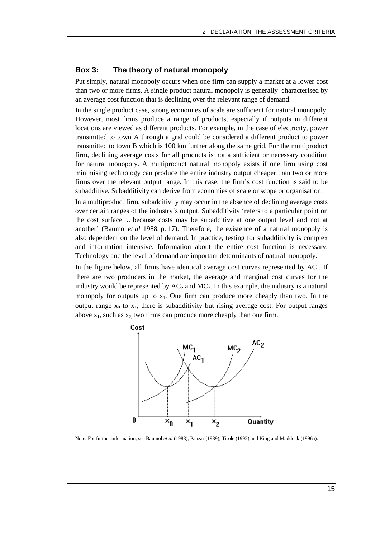#### **Box 3: The theory of natural monopoly**

Put simply, natural monopoly occurs when one firm can supply a market at a lower cost than two or more firms. A single product natural monopoly is generally characterised by an average cost function that is declining over the relevant range of demand.

In the single product case, strong economies of scale are sufficient for natural monopoly. However, most firms produce a range of products, especially if outputs in different locations are viewed as different products. For example, in the case of electricity, power transmitted to town A through a grid could be considered a different product to power transmitted to town B which is 100 km further along the same grid. For the multiproduct firm, declining average costs for all products is not a sufficient or necessary condition for natural monopoly. A multiproduct natural monopoly exists if one firm using cost minimising technology can produce the entire industry output cheaper than two or more firms over the relevant output range. In this case, the firm's cost function is said to be subadditive. Subadditivity can derive from economies of scale or scope or organisation.

In a multiproduct firm, subadditivity may occur in the absence of declining average costs over certain ranges of the industry's output. Subadditivity 'refers to a particular point on the cost surface … because costs may be subadditive at one output level and not at another' (Baumol *et al* 1988, p. 17). Therefore, the existence of a natural monopoly is also dependent on the level of demand. In practice, testing for subadditivity is complex and information intensive. Information about the entire cost function is necessary. Technology and the level of demand are important determinants of natural monopoly.

In the figure below, all firms have identical average cost curves represented by  $AC<sub>1</sub>$ . If there are two producers in the market, the average and marginal cost curves for the industry would be represented by  $AC_2$  and  $MC_2$ . In this example, the industry is a natural monopoly for outputs up to  $x_1$ . One firm can produce more cheaply than two. In the output range  $x_0$  to  $x_1$ , there is subadditivity but rising average cost. For output ranges above  $x_1$ , such as  $x_2$ , two firms can produce more cheaply than one firm.

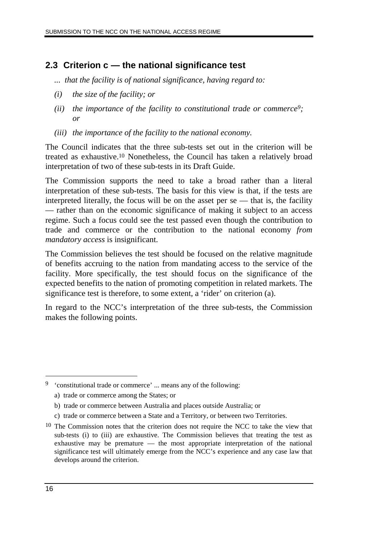## **2.3 Criterion c — the national significance test**

- *... that the facility is of national significance, having regard to:*
- *(i) the size of the facility; or*
- *(ii) the importance of the facility to constitutional trade or commerce9; or*
- *(iii) the importance of the facility to the national economy.*

The Council indicates that the three sub-tests set out in the criterion will be treated as exhaustive.10 Nonetheless, the Council has taken a relatively broad interpretation of two of these sub-tests in its Draft Guide.

The Commission supports the need to take a broad rather than a literal interpretation of these sub-tests. The basis for this view is that, if the tests are interpreted literally, the focus will be on the asset per  $se$  — that is, the facility — rather than on the economic significance of making it subject to an access regime. Such a focus could see the test passed even though the contribution to trade and commerce or the contribution to the national economy *from mandatory access* is insignificant.

The Commission believes the test should be focused on the relative magnitude of benefits accruing to the nation from mandating access to the service of the facility. More specifically, the test should focus on the significance of the expected benefits to the nation of promoting competition in related markets. The significance test is therefore, to some extent, a 'rider' on criterion (a).

In regard to the NCC's interpretation of the three sub-tests, the Commission makes the following points.

c) trade or commerce between a State and a Territory, or between two Territories.

<sup>9</sup> 'constitutional trade or commerce' ... means any of the following:

a) trade or commerce among the States; or

b) trade or commerce between Australia and places outside Australia; or

<sup>&</sup>lt;sup>10</sup> The Commission notes that the criterion does not require the NCC to take the view that sub-tests (i) to (iii) are exhaustive. The Commission believes that treating the test as exhaustive may be premature — the most appropriate interpretation of the national significance test will ultimately emerge from the NCC's experience and any case law that develops around the criterion.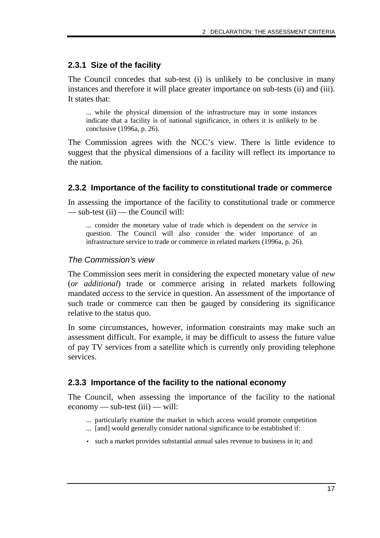#### **2.3.1 Size of the facility**

The Council concedes that sub-test (i) is unlikely to be conclusive in many instances and therefore it will place greater importance on sub-tests (ii) and (iii). It states that:

... while the physical dimension of the infrastructure may in some instances indicate that a facility is of national significance, in others it is unlikely to be conclusive (1996a, p. 26).

The Commission agrees with the NCC's view. There is little evidence to suggest that the physical dimensions of a facility will reflect its importance to the nation.

#### **2.3.2 Importance of the facility to constitutional trade or commerce**

In assessing the importance of the facility to constitutional trade or commerce — sub-test (ii) — the Council will:

... consider the monetary value of trade which is dependent on the *service* in question. The Council will also consider the wider importance of an infrastructure service to trade or commerce in related markets (1996a, p. 26).

#### The Commission's view

The Commission sees merit in considering the expected monetary value of *new* (*or additional*) trade or commerce arising in related markets following mandated *access* to the service in question. An assessment of the importance of such trade or commerce can then be gauged by considering its significance relative to the status quo.

In some circumstances, however, information constraints may make such an assessment difficult. For example, it may be difficult to assess the future value of pay TV services from a satellite which is currently only providing telephone services.

#### **2.3.3 Importance of the facility to the national economy**

The Council, when assessing the importance of the facility to the national economy — sub-test (iii) — will:

- ... particularly examine the market in which access would promote competition
- ... [and] would generally consider national significance to be established if:
- such a market provides substantial annual sales revenue to business in it; and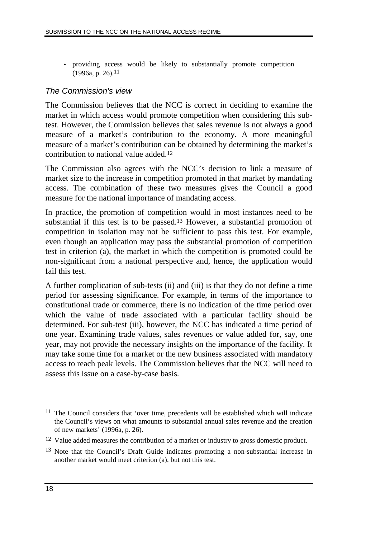• providing access would be likely to substantially promote competition  $(1996a, p. 26).$ <sup>11</sup>

#### The Commission's view

The Commission believes that the NCC is correct in deciding to examine the market in which access would promote competition when considering this subtest. However, the Commission believes that sales revenue is not always a good measure of a market's contribution to the economy. A more meaningful measure of a market's contribution can be obtained by determining the market's contribution to national value added.12

The Commission also agrees with the NCC's decision to link a measure of market size to the increase in competition promoted in that market by mandating access. The combination of these two measures gives the Council a good measure for the national importance of mandating access.

In practice, the promotion of competition would in most instances need to be substantial if this test is to be passed.13 However, a substantial promotion of competition in isolation may not be sufficient to pass this test. For example, even though an application may pass the substantial promotion of competition test in criterion (a), the market in which the competition is promoted could be non-significant from a national perspective and, hence, the application would fail this test.

A further complication of sub-tests (ii) and (iii) is that they do not define a time period for assessing significance. For example, in terms of the importance to constitutional trade or commerce, there is no indication of the time period over which the value of trade associated with a particular facility should be determined. For sub-test (iii), however, the NCC has indicated a time period of one year. Examining trade values, sales revenues or value added for, say, one year, may not provide the necessary insights on the importance of the facility. It may take some time for a market or the new business associated with mandatory access to reach peak levels. The Commission believes that the NCC will need to assess this issue on a case-by-case basis.

<sup>&</sup>lt;sup>11</sup> The Council considers that 'over time, precedents will be established which will indicate the Council's views on what amounts to substantial annual sales revenue and the creation of new markets' (1996a, p. 26).

<sup>12</sup> Value added measures the contribution of a market or industry to gross domestic product.

<sup>&</sup>lt;sup>13</sup> Note that the Council's Draft Guide indicates promoting a non-substantial increase in another market would meet criterion (a), but not this test.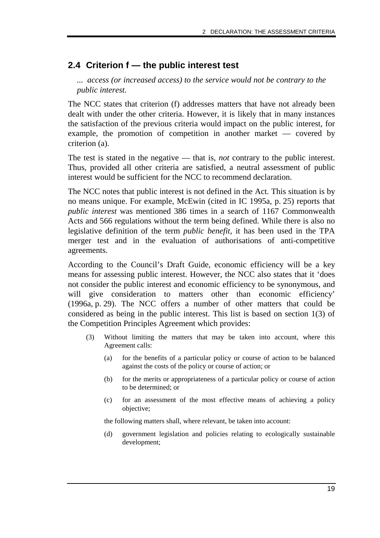## **2.4 Criterion f — the public interest test**

*... access (or increased access) to the service would not be contrary to the public interest.*

The NCC states that criterion (f) addresses matters that have not already been dealt with under the other criteria. However, it is likely that in many instances the satisfaction of the previous criteria would impact on the public interest, for example, the promotion of competition in another market — covered by criterion (a).

The test is stated in the negative — that is, *not* contrary to the public interest. Thus, provided all other criteria are satisfied, a neutral assessment of public interest would be sufficient for the NCC to recommend declaration.

The NCC notes that public interest is not defined in the Act. This situation is by no means unique. For example, McEwin (cited in IC 1995a, p. 25) reports that *public interest* was mentioned 386 times in a search of 1167 Commonwealth Acts and 566 regulations without the term being defined. While there is also no legislative definition of the term *public benefit,* it has been used in the TPA merger test and in the evaluation of authorisations of anti-competitive agreements.

According to the Council's Draft Guide, economic efficiency will be a key means for assessing public interest. However, the NCC also states that it 'does not consider the public interest and economic efficiency to be synonymous, and will give consideration to matters other than economic efficiency' (1996a, p. 29). The NCC offers a number of other matters that could be considered as being in the public interest. This list is based on section 1(3) of the Competition Principles Agreement which provides:

- (3) Without limiting the matters that may be taken into account, where this Agreement calls:
	- (a) for the benefits of a particular policy or course of action to be balanced against the costs of the policy or course of action; or
	- (b) for the merits or appropriateness of a particular policy or course of action to be determined; or
	- (c) for an assessment of the most effective means of achieving a policy objective;

the following matters shall, where relevant, be taken into account:

(d) government legislation and policies relating to ecologically sustainable development;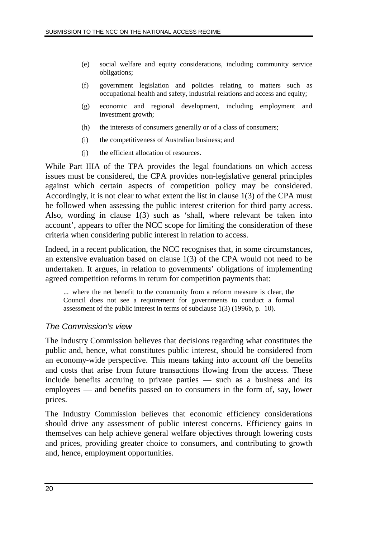- (e) social welfare and equity considerations, including community service obligations;
- (f) government legislation and policies relating to matters such as occupational health and safety, industrial relations and access and equity;
- (g) economic and regional development, including employment and investment growth;
- (h) the interests of consumers generally or of a class of consumers;
- (i) the competitiveness of Australian business; and
- (j) the efficient allocation of resources.

While Part IIIA of the TPA provides the legal foundations on which access issues must be considered, the CPA provides non-legislative general principles against which certain aspects of competition policy may be considered. Accordingly, it is not clear to what extent the list in clause 1(3) of the CPA must be followed when assessing the public interest criterion for third party access. Also, wording in clause 1(3) such as 'shall, where relevant be taken into account', appears to offer the NCC scope for limiting the consideration of these criteria when considering public interest in relation to access.

Indeed, in a recent publication, the NCC recognises that, in some circumstances, an extensive evaluation based on clause 1(3) of the CPA would not need to be undertaken. It argues, in relation to governments' obligations of implementing agreed competition reforms in return for competition payments that:

... where the net benefit to the community from a reform measure is clear, the Council does not see a requirement for governments to conduct a formal assessment of the public interest in terms of subclause 1(3) (1996b, p. 10).

#### The Commission's view

The Industry Commission believes that decisions regarding what constitutes the public and, hence, what constitutes public interest, should be considered from an economy-wide perspective. This means taking into account *all* the benefits and costs that arise from future transactions flowing from the access. These include benefits accruing to private parties — such as a business and its employees — and benefits passed on to consumers in the form of, say, lower prices.

The Industry Commission believes that economic efficiency considerations should drive any assessment of public interest concerns. Efficiency gains in themselves can help achieve general welfare objectives through lowering costs and prices, providing greater choice to consumers, and contributing to growth and, hence, employment opportunities.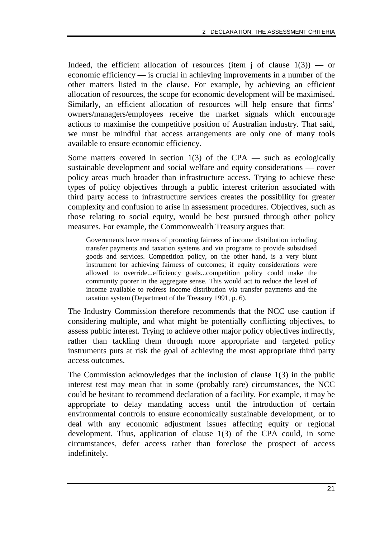Indeed, the efficient allocation of resources (item j of clause  $1(3)$ ) — or economic efficiency — is crucial in achieving improvements in a number of the other matters listed in the clause. For example, by achieving an efficient allocation of resources, the scope for economic development will be maximised. Similarly, an efficient allocation of resources will help ensure that firms' owners/managers/employees receive the market signals which encourage actions to maximise the competitive position of Australian industry. That said, we must be mindful that access arrangements are only one of many tools available to ensure economic efficiency.

Some matters covered in section  $1(3)$  of the CPA — such as ecologically sustainable development and social welfare and equity considerations — cover policy areas much broader than infrastructure access. Trying to achieve these types of policy objectives through a public interest criterion associated with third party access to infrastructure services creates the possibility for greater complexity and confusion to arise in assessment procedures. Objectives, such as those relating to social equity, would be best pursued through other policy measures. For example, the Commonwealth Treasury argues that:

Governments have means of promoting fairness of income distribution including transfer payments and taxation systems and via programs to provide subsidised goods and services. Competition policy, on the other hand, is a very blunt instrument for achieving fairness of outcomes; if equity considerations were allowed to override...efficiency goals...competition policy could make the community poorer in the aggregate sense. This would act to reduce the level of income available to redress income distribution via transfer payments and the taxation system (Department of the Treasury 1991, p. 6).

The Industry Commission therefore recommends that the NCC use caution if considering multiple, and what might be potentially conflicting objectives, to assess public interest. Trying to achieve other major policy objectives indirectly, rather than tackling them through more appropriate and targeted policy instruments puts at risk the goal of achieving the most appropriate third party access outcomes.

The Commission acknowledges that the inclusion of clause 1(3) in the public interest test may mean that in some (probably rare) circumstances, the NCC could be hesitant to recommend declaration of a facility. For example, it may be appropriate to delay mandating access until the introduction of certain environmental controls to ensure economically sustainable development, or to deal with any economic adjustment issues affecting equity or regional development. Thus, application of clause 1(3) of the CPA could, in some circumstances, defer access rather than foreclose the prospect of access indefinitely.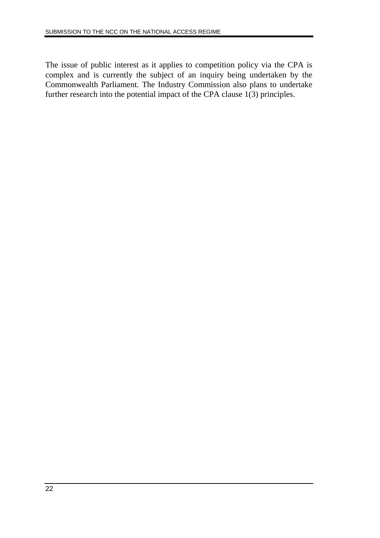The issue of public interest as it applies to competition policy via the CPA is complex and is currently the subject of an inquiry being undertaken by the Commonwealth Parliament. The Industry Commission also plans to undertake further research into the potential impact of the CPA clause 1(3) principles.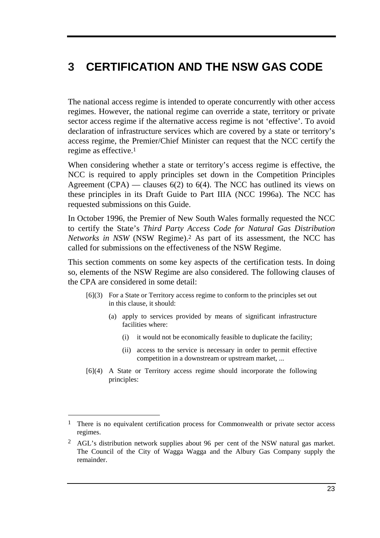# **3 CERTIFICATION AND THE NSW GAS CODE**

The national access regime is intended to operate concurrently with other access regimes. However, the national regime can override a state, territory or private sector access regime if the alternative access regime is not 'effective'. To avoid declaration of infrastructure services which are covered by a state or territory's access regime, the Premier/Chief Minister can request that the NCC certify the regime as effective.1

When considering whether a state or territory's access regime is effective, the NCC is required to apply principles set down in the Competition Principles Agreement (CPA) — clauses  $6(2)$  to  $6(4)$ . The NCC has outlined its views on these principles in its Draft Guide to Part IIIA (NCC 1996a). The NCC has requested submissions on this Guide.

In October 1996, the Premier of New South Wales formally requested the NCC to certify the State's *Third Party Access Code for Natural Gas Distribution Networks in NSW* (NSW Regime).2 As part of its assessment, the NCC has called for submissions on the effectiveness of the NSW Regime.

This section comments on some key aspects of the certification tests. In doing so, elements of the NSW Regime are also considered. The following clauses of the CPA are considered in some detail:

- [6](3) For a State or Territory access regime to conform to the principles set out in this clause, it should:
	- (a) apply to services provided by means of significant infrastructure facilities where:
		- (i) it would not be economically feasible to duplicate the facility;
		- (ii) access to the service is necessary in order to permit effective competition in a downstream or upstream market, ...
- [6](4) A State or Territory access regime should incorporate the following principles:

-

<sup>&</sup>lt;sup>1</sup> There is no equivalent certification process for Commonwealth or private sector access regimes.

<sup>2</sup> AGL's distribution network supplies about 96 per cent of the NSW natural gas market. The Council of the City of Wagga Wagga and the Albury Gas Company supply the remainder.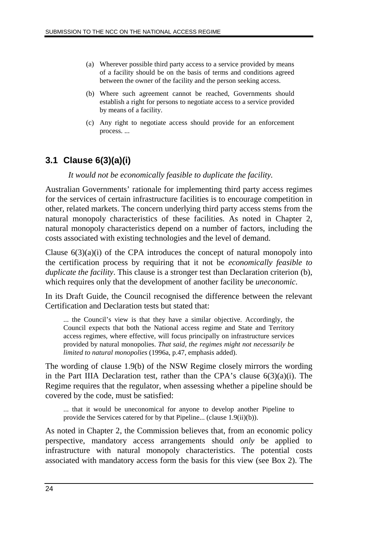- (a) Wherever possible third party access to a service provided by means of a facility should be on the basis of terms and conditions agreed between the owner of the facility and the person seeking access.
- (b) Where such agreement cannot be reached, Governments should establish a right for persons to negotiate access to a service provided by means of a facility.
- (c) Any right to negotiate access should provide for an enforcement process. ...

## **3.1 Clause 6(3)(a)(i)**

*It would not be economically feasible to duplicate the facility.*

Australian Governments' rationale for implementing third party access regimes for the services of certain infrastructure facilities is to encourage competition in other, related markets. The concern underlying third party access stems from the natural monopoly characteristics of these facilities. As noted in Chapter 2, natural monopoly characteristics depend on a number of factors, including the costs associated with existing technologies and the level of demand.

Clause  $6(3)(a)(i)$  of the CPA introduces the concept of natural monopoly into the certification process by requiring that it not be *economically feasible to duplicate the facility*. This clause is a stronger test than Declaration criterion (b), which requires only that the development of another facility be *uneconomic*.

In its Draft Guide, the Council recognised the difference between the relevant Certification and Declaration tests but stated that:

... the Council's view is that they have a similar objective. Accordingly, the Council expects that both the National access regime and State and Territory access regimes, where effective, will focus principally on infrastructure services provided by natural monopolies. *That said, the regimes might not necessarily be limited to natural monopolies* (1996a, p.47, emphasis added).

The wording of clause 1.9(b) of the NSW Regime closely mirrors the wording in the Part IIIA Declaration test, rather than the CPA's clause  $6(3)(a)(i)$ . The Regime requires that the regulator, when assessing whether a pipeline should be covered by the code, must be satisfied:

... that it would be uneconomical for anyone to develop another Pipeline to provide the Services catered for by that Pipeline... (clause 1.9(ii)(b)).

As noted in Chapter 2, the Commission believes that, from an economic policy perspective, mandatory access arrangements should *only* be applied to infrastructure with natural monopoly characteristics. The potential costs associated with mandatory access form the basis for this view (see Box 2). The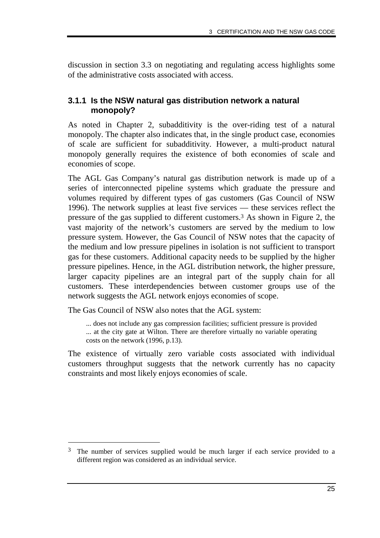discussion in section 3.3 on negotiating and regulating access highlights some of the administrative costs associated with access.

#### **3.1.1 Is the NSW natural gas distribution network a natural monopoly?**

As noted in Chapter 2, subadditivity is the over-riding test of a natural monopoly. The chapter also indicates that, in the single product case, economies of scale are sufficient for subadditivity. However, a multi-product natural monopoly generally requires the existence of both economies of scale and economies of scope.

The AGL Gas Company's natural gas distribution network is made up of a series of interconnected pipeline systems which graduate the pressure and volumes required by different types of gas customers (Gas Council of NSW 1996). The network supplies at least five services — these services reflect the pressure of the gas supplied to different customers.3 As shown in Figure 2, the vast majority of the network's customers are served by the medium to low pressure system. However, the Gas Council of NSW notes that the capacity of the medium and low pressure pipelines in isolation is not sufficient to transport gas for these customers. Additional capacity needs to be supplied by the higher pressure pipelines. Hence, in the AGL distribution network, the higher pressure, larger capacity pipelines are an integral part of the supply chain for all customers. These interdependencies between customer groups use of the network suggests the AGL network enjoys economies of scope.

The Gas Council of NSW also notes that the AGL system:

-

... does not include any gas compression facilities; sufficient pressure is provided ... at the city gate at Wilton. There are therefore virtually no variable operating costs on the network (1996, p.13).

The existence of virtually zero variable costs associated with individual customers throughput suggests that the network currently has no capacity constraints and most likely enjoys economies of scale.

 $3$  The number of services supplied would be much larger if each service provided to a different region was considered as an individual service.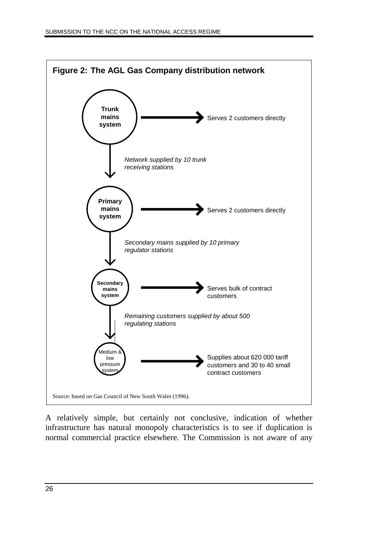

A relatively simple, but certainly not conclusive, indication of whether infrastructure has natural monopoly characteristics is to see if duplication is normal commercial practice elsewhere. The Commission is not aware of any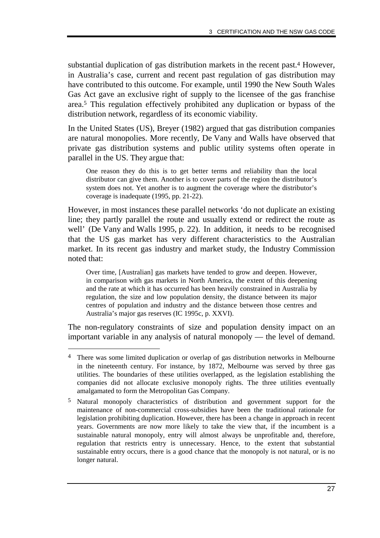substantial duplication of gas distribution markets in the recent past.4 However, in Australia's case, current and recent past regulation of gas distribution may have contributed to this outcome. For example, until 1990 the New South Wales Gas Act gave an exclusive right of supply to the licensee of the gas franchise area.5 This regulation effectively prohibited any duplication or bypass of the distribution network, regardless of its economic viability.

In the United States (US), Breyer (1982) argued that gas distribution companies are natural monopolies. More recently, De Vany and Walls have observed that private gas distribution systems and public utility systems often operate in parallel in the US. They argue that:

One reason they do this is to get better terms and reliability than the local distributor can give them. Another is to cover parts of the region the distributor's system does not. Yet another is to augment the coverage where the distributor's coverage is inadequate (1995, pp. 21-22).

However, in most instances these parallel networks 'do not duplicate an existing line; they partly parallel the route and usually extend or redirect the route as well' (De Vany and Walls 1995, p. 22). In addition, it needs to be recognised that the US gas market has very different characteristics to the Australian market. In its recent gas industry and market study, the Industry Commission noted that:

Over time, [Australian] gas markets have tended to grow and deepen. However, in comparison with gas markets in North America, the extent of this deepening and the rate at which it has occurred has been heavily constrained in Australia by regulation, the size and low population density, the distance between its major centres of population and industry and the distance between those centres and Australia's major gas reserves (IC 1995c, p. XXVI).

The non-regulatory constraints of size and population density impact on an important variable in any analysis of natural monopoly — the level of demand.

-

<sup>4</sup> There was some limited duplication or overlap of gas distribution networks in Melbourne in the nineteenth century. For instance, by 1872, Melbourne was served by three gas utilities. The boundaries of these utilities overlapped, as the legislation establishing the companies did not allocate exclusive monopoly rights. The three utilities eventually amalgamated to form the Metropolitan Gas Company.

<sup>5</sup> Natural monopoly characteristics of distribution and government support for the maintenance of non-commercial cross-subsidies have been the traditional rationale for legislation prohibiting duplication. However, there has been a change in approach in recent years. Governments are now more likely to take the view that, if the incumbent is a sustainable natural monopoly, entry will almost always be unprofitable and, therefore, regulation that restricts entry is unnecessary. Hence, to the extent that substantial sustainable entry occurs, there is a good chance that the monopoly is not natural, or is no longer natural.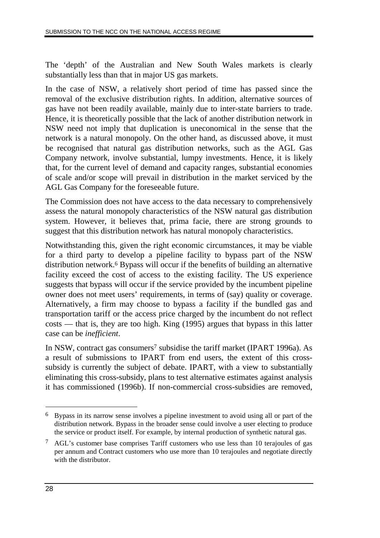The 'depth' of the Australian and New South Wales markets is clearly substantially less than that in major US gas markets.

In the case of NSW, a relatively short period of time has passed since the removal of the exclusive distribution rights. In addition, alternative sources of gas have not been readily available, mainly due to inter-state barriers to trade. Hence, it is theoretically possible that the lack of another distribution network in NSW need not imply that duplication is uneconomical in the sense that the network is a natural monopoly. On the other hand, as discussed above, it must be recognised that natural gas distribution networks, such as the AGL Gas Company network, involve substantial, lumpy investments. Hence, it is likely that, for the current level of demand and capacity ranges, substantial economies of scale and/or scope will prevail in distribution in the market serviced by the AGL Gas Company for the foreseeable future.

The Commission does not have access to the data necessary to comprehensively assess the natural monopoly characteristics of the NSW natural gas distribution system. However, it believes that, prima facie, there are strong grounds to suggest that this distribution network has natural monopoly characteristics.

Notwithstanding this, given the right economic circumstances, it may be viable for a third party to develop a pipeline facility to bypass part of the NSW distribution network.6 Bypass will occur if the benefits of building an alternative facility exceed the cost of access to the existing facility. The US experience suggests that bypass will occur if the service provided by the incumbent pipeline owner does not meet users' requirements, in terms of (say) quality or coverage. Alternatively, a firm may choose to bypass a facility if the bundled gas and transportation tariff or the access price charged by the incumbent do not reflect costs — that is, they are too high. King (1995) argues that bypass in this latter case can be *inefficient*.

In NSW, contract gas consumers<sup>7</sup> subsidise the tariff market (IPART 1996a). As a result of submissions to IPART from end users, the extent of this crosssubsidy is currently the subject of debate. IPART, with a view to substantially eliminating this cross-subsidy, plans to test alternative estimates against analysis it has commissioned (1996b). If non-commercial cross-subsidies are removed,

 $\overline{a}$ 

<sup>6</sup> Bypass in its narrow sense involves a pipeline investment to avoid using all or part of the distribution network. Bypass in the broader sense could involve a user electing to produce the service or product itself. For example, by internal production of synthetic natural gas.

<sup>7</sup> AGL's customer base comprises Tariff customers who use less than 10 terajoules of gas per annum and Contract customers who use more than 10 terajoules and negotiate directly with the distributor.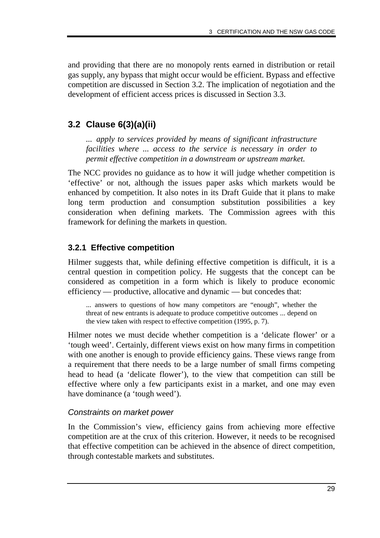and providing that there are no monopoly rents earned in distribution or retail gas supply, any bypass that might occur would be efficient. Bypass and effective competition are discussed in Section 3.2. The implication of negotiation and the development of efficient access prices is discussed in Section 3.3.

## **3.2 Clause 6(3)(a)(ii)**

*... apply to services provided by means of significant infrastructure facilities where ... access to the service is necessary in order to permit effective competition in a downstream or upstream market.*

The NCC provides no guidance as to how it will judge whether competition is 'effective' or not, although the issues paper asks which markets would be enhanced by competition. It also notes in its Draft Guide that it plans to make long term production and consumption substitution possibilities a key consideration when defining markets. The Commission agrees with this framework for defining the markets in question.

## **3.2.1 Effective competition**

Hilmer suggests that, while defining effective competition is difficult, it is a central question in competition policy. He suggests that the concept can be considered as competition in a form which is likely to produce economic efficiency — productive, allocative and dynamic — but concedes that:

... answers to questions of how many competitors are "enough", whether the threat of new entrants is adequate to produce competitive outcomes ... depend on the view taken with respect to effective competition (1995, p. 7).

Hilmer notes we must decide whether competition is a 'delicate flower' or a 'tough weed'. Certainly, different views exist on how many firms in competition with one another is enough to provide efficiency gains. These views range from a requirement that there needs to be a large number of small firms competing head to head (a 'delicate flower'), to the view that competition can still be effective where only a few participants exist in a market, and one may even have dominance (a 'tough weed').

## Constraints on market power

In the Commission's view, efficiency gains from achieving more effective competition are at the crux of this criterion. However, it needs to be recognised that effective competition can be achieved in the absence of direct competition, through contestable markets and substitutes.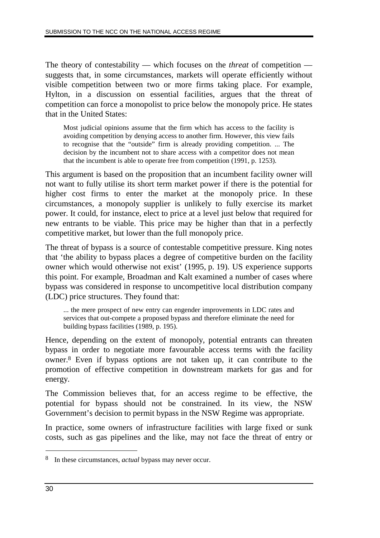The theory of contestability — which focuses on the *threat* of competition suggests that, in some circumstances, markets will operate efficiently without visible competition between two or more firms taking place. For example, Hylton, in a discussion on essential facilities, argues that the threat of competition can force a monopolist to price below the monopoly price. He states that in the United States:

Most judicial opinions assume that the firm which has access to the facility is avoiding competition by denying access to another firm. However, this view fails to recognise that the "outside" firm is already providing competition. ... The decision by the incumbent not to share access with a competitor does not mean that the incumbent is able to operate free from competition (1991, p. 1253).

This argument is based on the proposition that an incumbent facility owner will not want to fully utilise its short term market power if there is the potential for higher cost firms to enter the market at the monopoly price. In these circumstances, a monopoly supplier is unlikely to fully exercise its market power. It could, for instance, elect to price at a level just below that required for new entrants to be viable. This price may be higher than that in a perfectly competitive market, but lower than the full monopoly price.

The threat of bypass is a source of contestable competitive pressure. King notes that 'the ability to bypass places a degree of competitive burden on the facility owner which would otherwise not exist' (1995, p. 19). US experience supports this point. For example, Broadman and Kalt examined a number of cases where bypass was considered in response to uncompetitive local distribution company (LDC) price structures. They found that:

... the mere prospect of new entry can engender improvements in LDC rates and services that out-compete a proposed bypass and therefore eliminate the need for building bypass facilities (1989, p. 195).

Hence, depending on the extent of monopoly, potential entrants can threaten bypass in order to negotiate more favourable access terms with the facility owner.8 Even if bypass options are not taken up, it can contribute to the promotion of effective competition in downstream markets for gas and for energy.

The Commission believes that, for an access regime to be effective, the potential for bypass should not be constrained. In its view, the NSW Government's decision to permit bypass in the NSW Regime was appropriate.

In practice, some owners of infrastructure facilities with large fixed or sunk costs, such as gas pipelines and the like, may not face the threat of entry or

 $\overline{a}$ 

<sup>8</sup> In these circumstances, *actual* bypass may never occur.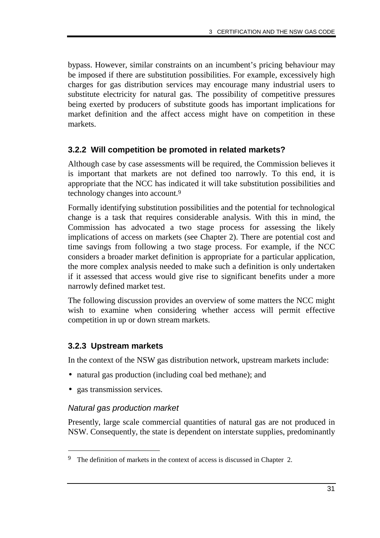bypass. However, similar constraints on an incumbent's pricing behaviour may be imposed if there are substitution possibilities. For example, excessively high charges for gas distribution services may encourage many industrial users to substitute electricity for natural gas. The possibility of competitive pressures being exerted by producers of substitute goods has important implications for market definition and the affect access might have on competition in these markets.

#### **3.2.2 Will competition be promoted in related markets?**

Although case by case assessments will be required, the Commission believes it is important that markets are not defined too narrowly. To this end, it is appropriate that the NCC has indicated it will take substitution possibilities and technology changes into account.9

Formally identifying substitution possibilities and the potential for technological change is a task that requires considerable analysis. With this in mind, the Commission has advocated a two stage process for assessing the likely implications of access on markets (see Chapter 2). There are potential cost and time savings from following a two stage process. For example, if the NCC considers a broader market definition is appropriate for a particular application, the more complex analysis needed to make such a definition is only undertaken if it assessed that access would give rise to significant benefits under a more narrowly defined market test.

The following discussion provides an overview of some matters the NCC might wish to examine when considering whether access will permit effective competition in up or down stream markets.

## **3.2.3 Upstream markets**

In the context of the NSW gas distribution network, upstream markets include:

- natural gas production (including coal bed methane); and
- gas transmission services.

-

#### Natural gas production market

Presently, large scale commercial quantities of natural gas are not produced in NSW. Consequently, the state is dependent on interstate supplies, predominantly

<sup>&</sup>lt;sup>9</sup> The definition of markets in the context of access is discussed in Chapter 2.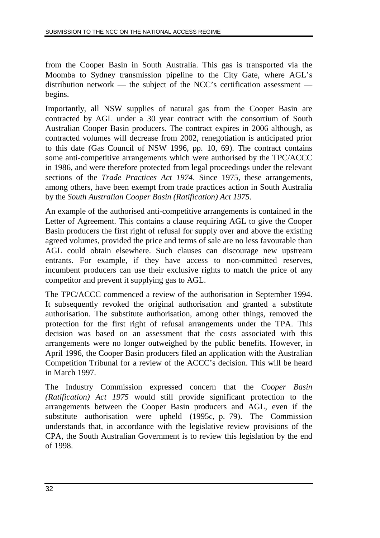from the Cooper Basin in South Australia. This gas is transported via the Moomba to Sydney transmission pipeline to the City Gate, where AGL's distribution network — the subject of the NCC's certification assessment begins.

Importantly, all NSW supplies of natural gas from the Cooper Basin are contracted by AGL under a 30 year contract with the consortium of South Australian Cooper Basin producers. The contract expires in 2006 although, as contracted volumes will decrease from 2002, renegotiation is anticipated prior to this date (Gas Council of NSW 1996, pp. 10, 69). The contract contains some anti-competitive arrangements which were authorised by the TPC/ACCC in 1986, and were therefore protected from legal proceedings under the relevant sections of the *Trade Practices Act 1974*. Since 1975, these arrangements, among others, have been exempt from trade practices action in South Australia by the *South Australian Cooper Basin (Ratification) Act 1975*.

An example of the authorised anti-competitive arrangements is contained in the Letter of Agreement. This contains a clause requiring AGL to give the Cooper Basin producers the first right of refusal for supply over and above the existing agreed volumes, provided the price and terms of sale are no less favourable than AGL could obtain elsewhere. Such clauses can discourage new upstream entrants. For example, if they have access to non-committed reserves, incumbent producers can use their exclusive rights to match the price of any competitor and prevent it supplying gas to AGL.

The TPC/ACCC commenced a review of the authorisation in September 1994. It subsequently revoked the original authorisation and granted a substitute authorisation. The substitute authorisation, among other things, removed the protection for the first right of refusal arrangements under the TPA. This decision was based on an assessment that the costs associated with this arrangements were no longer outweighed by the public benefits. However, in April 1996, the Cooper Basin producers filed an application with the Australian Competition Tribunal for a review of the ACCC's decision. This will be heard in March 1997.

The Industry Commission expressed concern that the *Cooper Basin (Ratification) Act 1975* would still provide significant protection to the arrangements between the Cooper Basin producers and AGL, even if the substitute authorisation were upheld (1995c, p. 79). The Commission understands that, in accordance with the legislative review provisions of the CPA, the South Australian Government is to review this legislation by the end of 1998.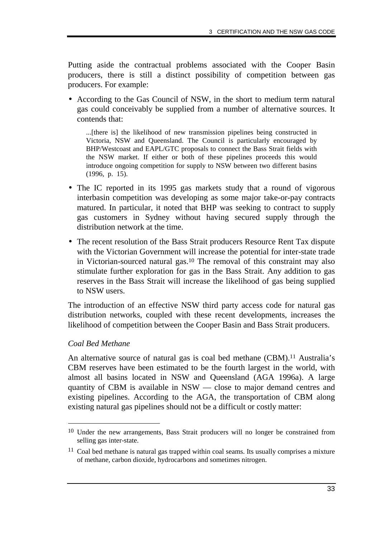Putting aside the contractual problems associated with the Cooper Basin producers, there is still a distinct possibility of competition between gas producers. For example:

• According to the Gas Council of NSW, in the short to medium term natural gas could conceivably be supplied from a number of alternative sources. It contends that:

...[there is] the likelihood of new transmission pipelines being constructed in Victoria, NSW and Queensland. The Council is particularly encouraged by BHP/Westcoast and EAPL/GTC proposals to connect the Bass Strait fields with the NSW market. If either or both of these pipelines proceeds this would introduce ongoing competition for supply to NSW between two different basins (1996, p. 15).

- The IC reported in its 1995 gas markets study that a round of vigorous interbasin competition was developing as some major take-or-pay contracts matured. In particular, it noted that BHP was seeking to contract to supply gas customers in Sydney without having secured supply through the distribution network at the time.
- The recent resolution of the Bass Strait producers Resource Rent Tax dispute with the Victorian Government will increase the potential for inter-state trade in Victorian-sourced natural gas.10 The removal of this constraint may also stimulate further exploration for gas in the Bass Strait. Any addition to gas reserves in the Bass Strait will increase the likelihood of gas being supplied to NSW users.

The introduction of an effective NSW third party access code for natural gas distribution networks, coupled with these recent developments, increases the likelihood of competition between the Cooper Basin and Bass Strait producers.

#### *Coal Bed Methane*

-

An alternative source of natural gas is coal bed methane (CBM).<sup>11</sup> Australia's CBM reserves have been estimated to be the fourth largest in the world, with almost all basins located in NSW and Queensland (AGA 1996a). A large quantity of CBM is available in NSW — close to major demand centres and existing pipelines. According to the AGA, the transportation of CBM along existing natural gas pipelines should not be a difficult or costly matter:

<sup>10</sup> Under the new arrangements, Bass Strait producers will no longer be constrained from selling gas inter-state.

<sup>11</sup> Coal bed methane is natural gas trapped within coal seams. Its usually comprises a mixture of methane, carbon dioxide, hydrocarbons and sometimes nitrogen.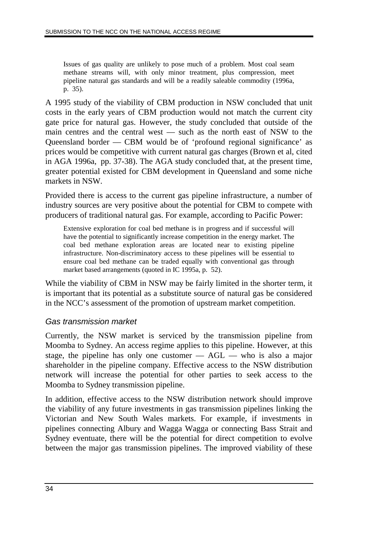Issues of gas quality are unlikely to pose much of a problem. Most coal seam methane streams will, with only minor treatment, plus compression, meet pipeline natural gas standards and will be a readily saleable commodity (1996a, p. 35).

A 1995 study of the viability of CBM production in NSW concluded that unit costs in the early years of CBM production would not match the current city gate price for natural gas. However, the study concluded that outside of the main centres and the central west — such as the north east of NSW to the Queensland border — CBM would be of 'profound regional significance' as prices would be competitive with current natural gas charges (Brown et al, cited in AGA 1996a, pp. 37-38). The AGA study concluded that, at the present time, greater potential existed for CBM development in Queensland and some niche markets in NSW.

Provided there is access to the current gas pipeline infrastructure, a number of industry sources are very positive about the potential for CBM to compete with producers of traditional natural gas. For example, according to Pacific Power:

Extensive exploration for coal bed methane is in progress and if successful will have the potential to significantly increase competition in the energy market. The coal bed methane exploration areas are located near to existing pipeline infrastructure. Non-discriminatory access to these pipelines will be essential to ensure coal bed methane can be traded equally with conventional gas through market based arrangements (quoted in IC 1995a, p. 52).

While the viability of CBM in NSW may be fairly limited in the shorter term, it is important that its potential as a substitute source of natural gas be considered in the NCC's assessment of the promotion of upstream market competition.

#### Gas transmission market

Currently, the NSW market is serviced by the transmission pipeline from Moomba to Sydney. An access regime applies to this pipeline. However, at this stage, the pipeline has only one customer  $-$  AGL  $-$  who is also a major shareholder in the pipeline company. Effective access to the NSW distribution network will increase the potential for other parties to seek access to the Moomba to Sydney transmission pipeline.

In addition, effective access to the NSW distribution network should improve the viability of any future investments in gas transmission pipelines linking the Victorian and New South Wales markets. For example, if investments in pipelines connecting Albury and Wagga Wagga or connecting Bass Strait and Sydney eventuate, there will be the potential for direct competition to evolve between the major gas transmission pipelines. The improved viability of these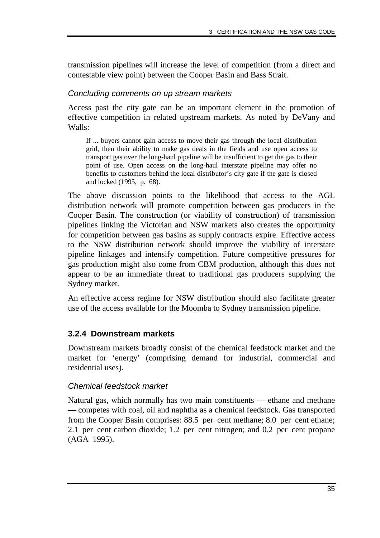transmission pipelines will increase the level of competition (from a direct and contestable view point) between the Cooper Basin and Bass Strait.

#### Concluding comments on up stream markets

Access past the city gate can be an important element in the promotion of effective competition in related upstream markets. As noted by DeVany and Walls:

If ... buyers cannot gain access to move their gas through the local distribution grid, then their ability to make gas deals in the fields and use open access to transport gas over the long-haul pipeline will be insufficient to get the gas to their point of use. Open access on the long-haul interstate pipeline may offer no benefits to customers behind the local distributor's city gate if the gate is closed and locked (1995, p. 68).

The above discussion points to the likelihood that access to the AGL distribution network will promote competition between gas producers in the Cooper Basin. The construction (or viability of construction) of transmission pipelines linking the Victorian and NSW markets also creates the opportunity for competition between gas basins as supply contracts expire. Effective access to the NSW distribution network should improve the viability of interstate pipeline linkages and intensify competition. Future competitive pressures for gas production might also come from CBM production, although this does not appear to be an immediate threat to traditional gas producers supplying the Sydney market.

An effective access regime for NSW distribution should also facilitate greater use of the access available for the Moomba to Sydney transmission pipeline.

## **3.2.4 Downstream markets**

Downstream markets broadly consist of the chemical feedstock market and the market for 'energy' (comprising demand for industrial, commercial and residential uses).

## Chemical feedstock market

Natural gas, which normally has two main constituents — ethane and methane — competes with coal, oil and naphtha as a chemical feedstock. Gas transported from the Cooper Basin comprises: 88.5 per cent methane; 8.0 per cent ethane; 2.1 per cent carbon dioxide; 1.2 per cent nitrogen; and 0.2 per cent propane (AGA 1995).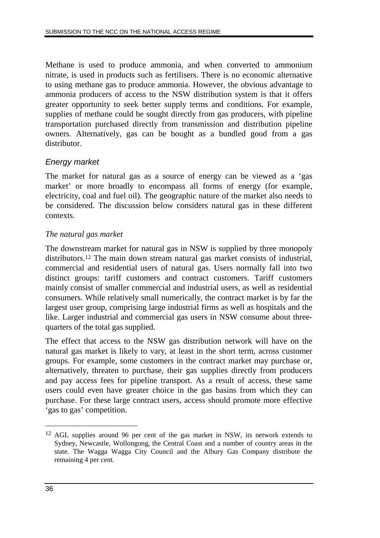Methane is used to produce ammonia, and when converted to ammonium nitrate, is used in products such as fertilisers. There is no economic alternative to using methane gas to produce ammonia. However, the obvious advantage to ammonia producers of access to the NSW distribution system is that it offers greater opportunity to seek better supply terms and conditions. For example, supplies of methane could be sought directly from gas producers, with pipeline transportation purchased directly from transmission and distribution pipeline owners. Alternatively, gas can be bought as a bundled good from a gas distributor.

## Energy market

The market for natural gas as a source of energy can be viewed as a 'gas market' or more broadly to encompass all forms of energy (for example, electricity, coal and fuel oil). The geographic nature of the market also needs to be considered. The discussion below considers natural gas in these different contexts.

## *The natural gas market*

The downstream market for natural gas in NSW is supplied by three monopoly distributors.12 The main down stream natural gas market consists of industrial, commercial and residential users of natural gas. Users normally fall into two distinct groups: tariff customers and contract customers. Tariff customers mainly consist of smaller commercial and industrial users, as well as residential consumers. While relatively small numerically, the contract market is by far the largest user group, comprising large industrial firms as well as hospitals and the like. Larger industrial and commercial gas users in NSW consume about threequarters of the total gas supplied.

The effect that access to the NSW gas distribution network will have on the natural gas market is likely to vary, at least in the short term, across customer groups. For example, some customers in the contract market may purchase or, alternatively, threaten to purchase, their gas supplies directly from producers and pay access fees for pipeline transport. As a result of access, these same users could even have greater choice in the gas basins from which they can purchase. For these large contract users, access should promote more effective 'gas to gas' competition.

 $\overline{a}$ 

<sup>12</sup> AGL supplies around 96 per cent of the gas market in NSW, its network extends to Sydney, Newcastle, Wollongong, the Central Coast and a number of country areas in the state. The Wagga Wagga City Council and the Albury Gas Company distribute the remaining 4 per cent.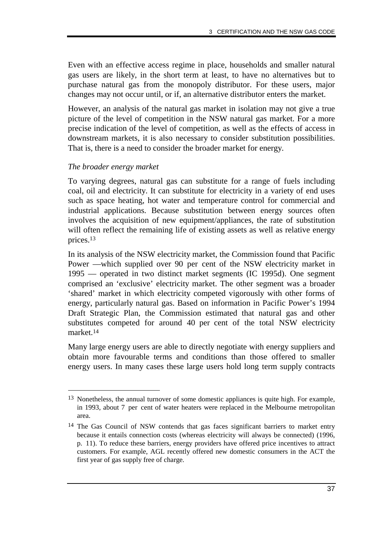Even with an effective access regime in place, households and smaller natural gas users are likely, in the short term at least, to have no alternatives but to purchase natural gas from the monopoly distributor. For these users, major changes may not occur until, or if, an alternative distributor enters the market.

However, an analysis of the natural gas market in isolation may not give a true picture of the level of competition in the NSW natural gas market. For a more precise indication of the level of competition, as well as the effects of access in downstream markets, it is also necessary to consider substitution possibilities. That is, there is a need to consider the broader market for energy.

#### *The broader energy market*

-

To varying degrees, natural gas can substitute for a range of fuels including coal, oil and electricity. It can substitute for electricity in a variety of end uses such as space heating, hot water and temperature control for commercial and industrial applications. Because substitution between energy sources often involves the acquisition of new equipment/appliances, the rate of substitution will often reflect the remaining life of existing assets as well as relative energy prices.13

In its analysis of the NSW electricity market, the Commission found that Pacific Power —which supplied over 90 per cent of the NSW electricity market in 1995 — operated in two distinct market segments (IC 1995d). One segment comprised an 'exclusive' electricity market. The other segment was a broader 'shared' market in which electricity competed vigorously with other forms of energy, particularly natural gas. Based on information in Pacific Power's 1994 Draft Strategic Plan, the Commission estimated that natural gas and other substitutes competed for around 40 per cent of the total NSW electricity market.14

Many large energy users are able to directly negotiate with energy suppliers and obtain more favourable terms and conditions than those offered to smaller energy users. In many cases these large users hold long term supply contracts

<sup>13</sup> Nonetheless, the annual turnover of some domestic appliances is quite high. For example, in 1993, about 7 per cent of water heaters were replaced in the Melbourne metropolitan area.

<sup>&</sup>lt;sup>14</sup> The Gas Council of NSW contends that gas faces significant barriers to market entry because it entails connection costs (whereas electricity will always be connected) (1996, p. 11). To reduce these barriers, energy providers have offered price incentives to attract customers. For example, AGL recently offered new domestic consumers in the ACT the first year of gas supply free of charge*.*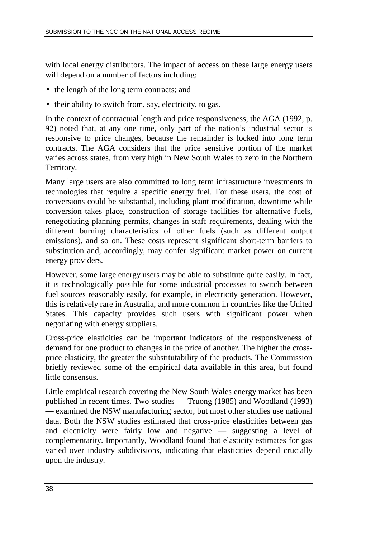with local energy distributors. The impact of access on these large energy users will depend on a number of factors including:

- the length of the long term contracts; and
- their ability to switch from, say, electricity, to gas.

In the context of contractual length and price responsiveness, the AGA (1992, p. 92) noted that, at any one time, only part of the nation's industrial sector is responsive to price changes, because the remainder is locked into long term contracts. The AGA considers that the price sensitive portion of the market varies across states, from very high in New South Wales to zero in the Northern Territory.

Many large users are also committed to long term infrastructure investments in technologies that require a specific energy fuel. For these users, the cost of conversions could be substantial, including plant modification, downtime while conversion takes place, construction of storage facilities for alternative fuels, renegotiating planning permits, changes in staff requirements, dealing with the different burning characteristics of other fuels (such as different output emissions), and so on. These costs represent significant short-term barriers to substitution and, accordingly, may confer significant market power on current energy providers.

However, some large energy users may be able to substitute quite easily. In fact, it is technologically possible for some industrial processes to switch between fuel sources reasonably easily, for example, in electricity generation. However, this is relatively rare in Australia, and more common in countries like the United States. This capacity provides such users with significant power when negotiating with energy suppliers.

Cross-price elasticities can be important indicators of the responsiveness of demand for one product to changes in the price of another. The higher the crossprice elasticity, the greater the substitutability of the products. The Commission briefly reviewed some of the empirical data available in this area, but found little consensus.

Little empirical research covering the New South Wales energy market has been published in recent times. Two studies — Truong (1985) and Woodland (1993) — examined the NSW manufacturing sector, but most other studies use national data. Both the NSW studies estimated that cross-price elasticities between gas and electricity were fairly low and negative — suggesting a level of complementarity. Importantly, Woodland found that elasticity estimates for gas varied over industry subdivisions, indicating that elasticities depend crucially upon the industry.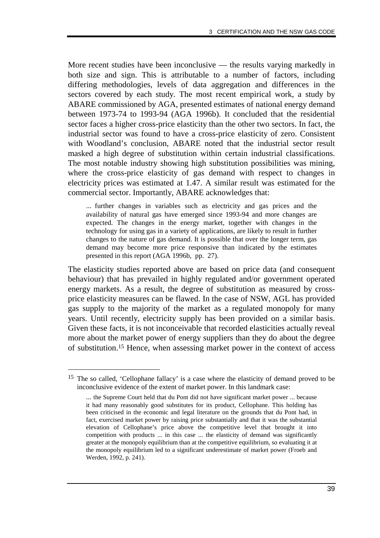More recent studies have been inconclusive — the results varying markedly in both size and sign. This is attributable to a number of factors, including differing methodologies, levels of data aggregation and differences in the sectors covered by each study. The most recent empirical work, a study by ABARE commissioned by AGA, presented estimates of national energy demand between 1973-74 to 1993-94 (AGA 1996b). It concluded that the residential sector faces a higher cross-price elasticity than the other two sectors. In fact, the industrial sector was found to have a cross-price elasticity of zero. Consistent with Woodland's conclusion, ABARE noted that the industrial sector result masked a high degree of substitution within certain industrial classifications. The most notable industry showing high substitution possibilities was mining, where the cross-price elasticity of gas demand with respect to changes in electricity prices was estimated at 1.47. A similar result was estimated for the commercial sector. Importantly, ABARE acknowledges that:

... further changes in variables such as electricity and gas prices and the availability of natural gas have emerged since 1993-94 and more changes are expected. The changes in the energy market, together with changes in the technology for using gas in a variety of applications, are likely to result in further changes to the nature of gas demand. It is possible that over the longer term, gas demand may become more price responsive than indicated by the estimates presented in this report (AGA 1996b, pp. 27).

The elasticity studies reported above are based on price data (and consequent behaviour) that has prevailed in highly regulated and/or government operated energy markets. As a result, the degree of substitution as measured by crossprice elasticity measures can be flawed. In the case of NSW, AGL has provided gas supply to the majority of the market as a regulated monopoly for many years. Until recently, electricity supply has been provided on a similar basis. Given these facts, it is not inconceivable that recorded elasticities actually reveal more about the market power of energy suppliers than they do about the degree of substitution.15 Hence, when assessing market power in the context of access

-

<sup>15</sup> The so called, 'Cellophane fallacy' is a case where the elasticity of demand proved to be inconclusive evidence of the extent of market power. In this landmark case:

<sup>...</sup> the Supreme Court held that du Pont did not have significant market power ... because it had many reasonably good substitutes for its product, Cellophane. This holding has been criticised in the economic and legal literature on the grounds that du Pont had, in fact, exercised market power by raising price substantially and that it was the substantial elevation of Cellophane's price above the competitive level that brought it into competition with products ... in this case ... the elasticity of demand was significantly greater at the monopoly equilibrium than at the competitive equilibrium, so evaluating it at the monopoly equilibrium led to a significant underestimate of market power (Froeb and Werden, 1992, p. 241).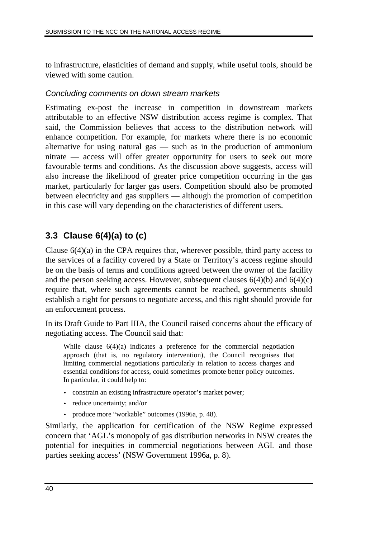to infrastructure, elasticities of demand and supply, while useful tools, should be viewed with some caution.

## Concluding comments on down stream markets

Estimating ex-post the increase in competition in downstream markets attributable to an effective NSW distribution access regime is complex. That said, the Commission believes that access to the distribution network will enhance competition. For example, for markets where there is no economic alternative for using natural gas — such as in the production of ammonium nitrate — access will offer greater opportunity for users to seek out more favourable terms and conditions. As the discussion above suggests, access will also increase the likelihood of greater price competition occurring in the gas market, particularly for larger gas users. Competition should also be promoted between electricity and gas suppliers — although the promotion of competition in this case will vary depending on the characteristics of different users.

# **3.3 Clause 6(4)(a) to (c)**

Clause 6(4)(a) in the CPA requires that, wherever possible, third party access to the services of a facility covered by a State or Territory's access regime should be on the basis of terms and conditions agreed between the owner of the facility and the person seeking access. However, subsequent clauses  $6(4)(b)$  and  $6(4)(c)$ require that, where such agreements cannot be reached, governments should establish a right for persons to negotiate access, and this right should provide for an enforcement process.

In its Draft Guide to Part IIIA, the Council raised concerns about the efficacy of negotiating access. The Council said that:

While clause 6(4)(a) indicates a preference for the commercial negotiation approach (that is, no regulatory intervention), the Council recognises that limiting commercial negotiations particularly in relation to access charges and essential conditions for access, could sometimes promote better policy outcomes. In particular, it could help to:

- constrain an existing infrastructure operator's market power;
- reduce uncertainty; and/or
- produce more "workable" outcomes (1996a, p. 48).

Similarly, the application for certification of the NSW Regime expressed concern that 'AGL's monopoly of gas distribution networks in NSW creates the potential for inequities in commercial negotiations between AGL and those parties seeking access' (NSW Government 1996a, p. 8).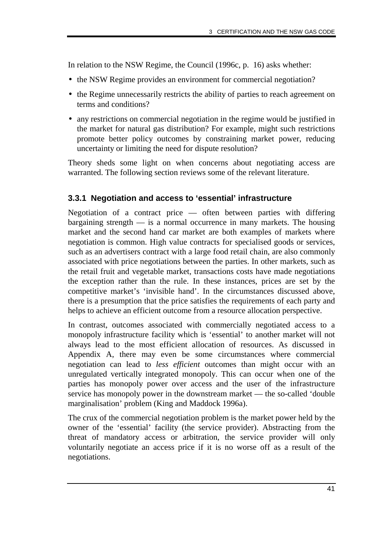In relation to the NSW Regime, the Council (1996c, p. 16) asks whether:

- the NSW Regime provides an environment for commercial negotiation?
- the Regime unnecessarily restricts the ability of parties to reach agreement on terms and conditions?
- any restrictions on commercial negotiation in the regime would be justified in the market for natural gas distribution? For example, might such restrictions promote better policy outcomes by constraining market power, reducing uncertainty or limiting the need for dispute resolution?

Theory sheds some light on when concerns about negotiating access are warranted. The following section reviews some of the relevant literature.

## **3.3.1 Negotiation and access to 'essential' infrastructure**

Negotiation of a contract price — often between parties with differing bargaining strength  $\frac{1}{10}$  is a normal occurrence in many markets. The housing market and the second hand car market are both examples of markets where negotiation is common. High value contracts for specialised goods or services, such as an advertisers contract with a large food retail chain, are also commonly associated with price negotiations between the parties. In other markets, such as the retail fruit and vegetable market, transactions costs have made negotiations the exception rather than the rule. In these instances, prices are set by the competitive market's 'invisible hand'. In the circumstances discussed above, there is a presumption that the price satisfies the requirements of each party and helps to achieve an efficient outcome from a resource allocation perspective.

In contrast, outcomes associated with commercially negotiated access to a monopoly infrastructure facility which is 'essential' to another market will not always lead to the most efficient allocation of resources. As discussed in Appendix A, there may even be some circumstances where commercial negotiation can lead to *less efficient* outcomes than might occur with an unregulated vertically integrated monopoly. This can occur when one of the parties has monopoly power over access and the user of the infrastructure service has monopoly power in the downstream market — the so-called 'double marginalisation' problem (King and Maddock 1996a).

The crux of the commercial negotiation problem is the market power held by the owner of the 'essential' facility (the service provider). Abstracting from the threat of mandatory access or arbitration, the service provider will only voluntarily negotiate an access price if it is no worse off as a result of the negotiations.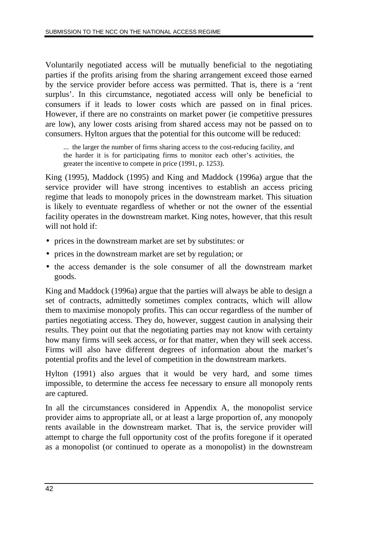Voluntarily negotiated access will be mutually beneficial to the negotiating parties if the profits arising from the sharing arrangement exceed those earned by the service provider before access was permitted. That is, there is a 'rent surplus'. In this circumstance, negotiated access will only be beneficial to consumers if it leads to lower costs which are passed on in final prices. However, if there are no constraints on market power (ie competitive pressures are low), any lower costs arising from shared access may not be passed on to consumers. Hylton argues that the potential for this outcome will be reduced:

... the larger the number of firms sharing access to the cost-reducing facility, and the harder it is for participating firms to monitor each other's activities, the greater the incentive to compete in price (1991, p. 1253).

King (1995), Maddock (1995) and King and Maddock (1996a) argue that the service provider will have strong incentives to establish an access pricing regime that leads to monopoly prices in the downstream market. This situation is likely to eventuate regardless of whether or not the owner of the essential facility operates in the downstream market. King notes, however, that this result will not hold if:

- prices in the downstream market are set by substitutes: or
- prices in the downstream market are set by regulation; or
- the access demander is the sole consumer of all the downstream market goods.

King and Maddock (1996a) argue that the parties will always be able to design a set of contracts, admittedly sometimes complex contracts, which will allow them to maximise monopoly profits. This can occur regardless of the number of parties negotiating access. They do, however, suggest caution in analysing their results. They point out that the negotiating parties may not know with certainty how many firms will seek access, or for that matter, when they will seek access. Firms will also have different degrees of information about the market's potential profits and the level of competition in the downstream markets.

Hylton (1991) also argues that it would be very hard, and some times impossible, to determine the access fee necessary to ensure all monopoly rents are captured.

In all the circumstances considered in Appendix A, the monopolist service provider aims to appropriate all, or at least a large proportion of, any monopoly rents available in the downstream market. That is, the service provider will attempt to charge the full opportunity cost of the profits foregone if it operated as a monopolist (or continued to operate as a monopolist) in the downstream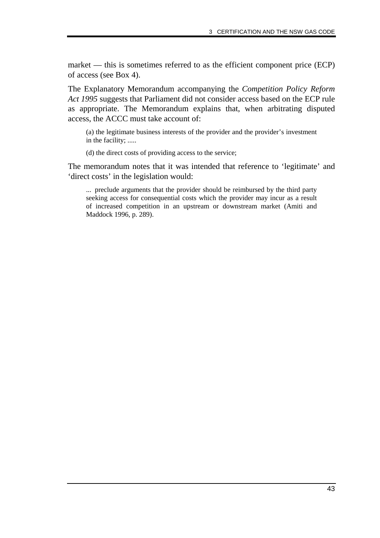market — this is sometimes referred to as the efficient component price (ECP) of access (see Box 4).

The Explanatory Memorandum accompanying the *Competition Policy Reform Act 1995* suggests that Parliament did not consider access based on the ECP rule as appropriate. The Memorandum explains that, when arbitrating disputed access, the ACCC must take account of:

(a) the legitimate business interests of the provider and the provider's investment in the facility; .....

(d) the direct costs of providing access to the service;

The memorandum notes that it was intended that reference to 'legitimate' and 'direct costs' in the legislation would:

... preclude arguments that the provider should be reimbursed by the third party seeking access for consequential costs which the provider may incur as a result of increased competition in an upstream or downstream market (Amiti and Maddock 1996, p. 289).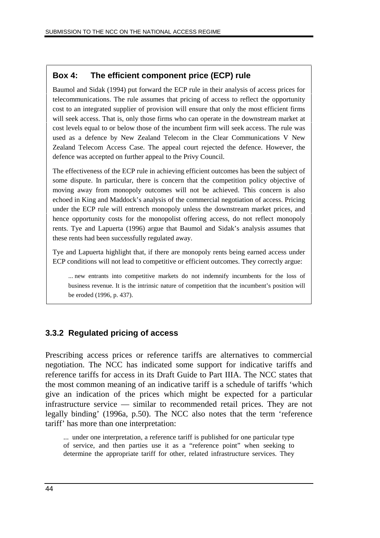## **Box 4: The efficient component price (ECP) rule**

Baumol and Sidak (1994) put forward the ECP rule in their analysis of access prices for telecommunications. The rule assumes that pricing of access to reflect the opportunity cost to an integrated supplier of provision will ensure that only the most efficient firms will seek access. That is, only those firms who can operate in the downstream market at cost levels equal to or below those of the incumbent firm will seek access. The rule was used as a defence by New Zealand Telecom in the Clear Communications V New Zealand Telecom Access Case. The appeal court rejected the defence. However, the defence was accepted on further appeal to the Privy Council.

The effectiveness of the ECP rule in achieving efficient outcomes has been the subject of some dispute. In particular, there is concern that the competition policy objective of moving away from monopoly outcomes will not be achieved. This concern is also echoed in King and Maddock's analysis of the commercial negotiation of access. Pricing under the ECP rule will entrench monopoly unless the downstream market prices, and hence opportunity costs for the monopolist offering access, do not reflect monopoly rents. Tye and Lapuerta (1996) argue that Baumol and Sidak's analysis assumes that these rents had been successfully regulated away.

Tye and Lapuerta highlight that, if there are monopoly rents being earned access under ECP conditions will not lead to competitive or efficient outcomes. They correctly argue:

... new entrants into competitive markets do not indemnify incumbents for the loss of business revenue. It is the intrinsic nature of competition that the incumbent's position will be eroded (1996, p. 437).

## **3.3.2 Regulated pricing of access**

Prescribing access prices or reference tariffs are alternatives to commercial negotiation. The NCC has indicated some support for indicative tariffs and reference tariffs for access in its Draft Guide to Part IIIA. The NCC states that the most common meaning of an indicative tariff is a schedule of tariffs 'which give an indication of the prices which might be expected for a particular infrastructure service — similar to recommended retail prices. They are not legally binding' (1996a, p.50). The NCC also notes that the term 'reference tariff' has more than one interpretation:

... under one interpretation, a reference tariff is published for one particular type of service, and then parties use it as a "reference point" when seeking to determine the appropriate tariff for other, related infrastructure services. They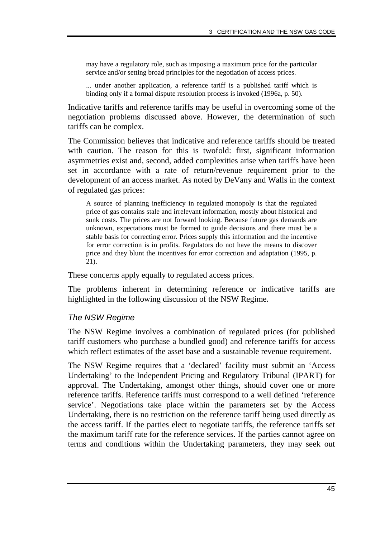may have a regulatory role, such as imposing a maximum price for the particular service and/or setting broad principles for the negotiation of access prices.

... under another application, a reference tariff is a published tariff which is binding only if a formal dispute resolution process is invoked (1996a, p. 50).

Indicative tariffs and reference tariffs may be useful in overcoming some of the negotiation problems discussed above. However, the determination of such tariffs can be complex.

The Commission believes that indicative and reference tariffs should be treated with caution. The reason for this is twofold: first, significant information asymmetries exist and, second, added complexities arise when tariffs have been set in accordance with a rate of return/revenue requirement prior to the development of an access market. As noted by DeVany and Walls in the context of regulated gas prices:

A source of planning inefficiency in regulated monopoly is that the regulated price of gas contains stale and irrelevant information, mostly about historical and sunk costs. The prices are not forward looking. Because future gas demands are unknown, expectations must be formed to guide decisions and there must be a stable basis for correcting error. Prices supply this information and the incentive for error correction is in profits. Regulators do not have the means to discover price and they blunt the incentives for error correction and adaptation (1995, p. 21).

These concerns apply equally to regulated access prices.

The problems inherent in determining reference or indicative tariffs are highlighted in the following discussion of the NSW Regime.

#### The NSW Regime

The NSW Regime involves a combination of regulated prices (for published tariff customers who purchase a bundled good) and reference tariffs for access which reflect estimates of the asset base and a sustainable revenue requirement.

The NSW Regime requires that a 'declared' facility must submit an 'Access Undertaking' to the Independent Pricing and Regulatory Tribunal (IPART) for approval. The Undertaking, amongst other things, should cover one or more reference tariffs. Reference tariffs must correspond to a well defined 'reference service'. Negotiations take place within the parameters set by the Access Undertaking, there is no restriction on the reference tariff being used directly as the access tariff. If the parties elect to negotiate tariffs, the reference tariffs set the maximum tariff rate for the reference services. If the parties cannot agree on terms and conditions within the Undertaking parameters, they may seek out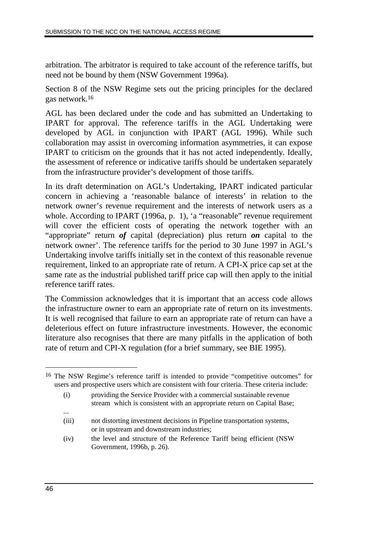arbitration. The arbitrator is required to take account of the reference tariffs, but need not be bound by them (NSW Government 1996a).

Section 8 of the NSW Regime sets out the pricing principles for the declared gas network.16

AGL has been declared under the code and has submitted an Undertaking to IPART for approval. The reference tariffs in the AGL Undertaking were developed by AGL in conjunction with IPART (AGL 1996). While such collaboration may assist in overcoming information asymmetries, it can expose IPART to criticism on the grounds that it has not acted independently. Ideally, the assessment of reference or indicative tariffs should be undertaken separately from the infrastructure provider's development of those tariffs.

In its draft determination on AGL's Undertaking, IPART indicated particular concern in achieving a 'reasonable balance of interests' in relation to the network owner's revenue requirement and the interests of network users as a whole. According to IPART (1996a, p. 1), 'a "reasonable" revenue requirement will cover the efficient costs of operating the network together with an "appropriate" return *of* capital (depreciation) plus return *on* capital to the network owner'. The reference tariffs for the period to 30 June 1997 in AGL's Undertaking involve tariffs initially set in the context of this reasonable revenue requirement, linked to an appropriate rate of return. A CPI-X price cap set at the same rate as the industrial published tariff price cap will then apply to the initial reference tariff rates.

The Commission acknowledges that it is important that an access code allows the infrastructure owner to earn an appropriate rate of return on its investments. It is well recognised that failure to earn an appropriate rate of return can have a deleterious effect on future infrastructure investments. However, the economic literature also recognises that there are many pitfalls in the application of both rate of return and CPI-X regulation (for a brief summary, see BIE 1995).

16 The NSW Regime's reference tariff is intended to provide "competitive outcomes" for users and prospective users which are consistent with four criteria. These criteria include:

 $\overline{a}$ 

...

<sup>(</sup>i) providing the Service Provider with a commercial sustainable revenue stream which is consistent with an appropriate return on Capital Base;

<sup>(</sup>iii) not distorting investment decisions in Pipeline transportation systems, or in upstream and downstream industries;

<sup>(</sup>iv) the level and structure of the Reference Tariff being efficient (NSW Government, 1996b, p. 26).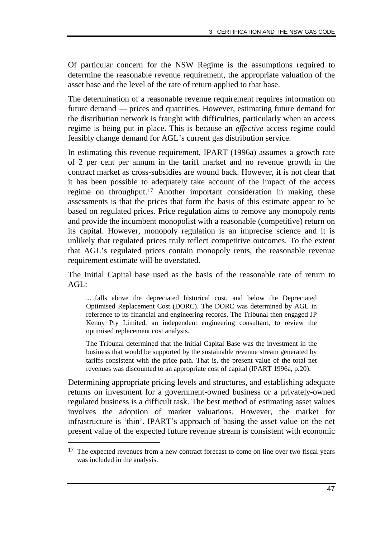Of particular concern for the NSW Regime is the assumptions required to determine the reasonable revenue requirement, the appropriate valuation of the asset base and the level of the rate of return applied to that base.

The determination of a reasonable revenue requirement requires information on future demand — prices and quantities. However, estimating future demand for the distribution network is fraught with difficulties, particularly when an access regime is being put in place. This is because an *effective* access regime could feasibly change demand for AGL's current gas distribution service.

In estimating this revenue requirement, IPART (1996a) assumes a growth rate of 2 per cent per annum in the tariff market and no revenue growth in the contract market as cross-subsidies are wound back. However, it is not clear that it has been possible to adequately take account of the impact of the access regime on throughput.17 Another important consideration in making these assessments is that the prices that form the basis of this estimate appear to be based on regulated prices. Price regulation aims to remove any monopoly rents and provide the incumbent monopolist with a reasonable (competitive) return on its capital. However, monopoly regulation is an imprecise science and it is unlikely that regulated prices truly reflect competitive outcomes. To the extent that AGL's regulated prices contain monopoly rents, the reasonable revenue requirement estimate will be overstated.

The Initial Capital base used as the basis of the reasonable rate of return to  $AGL:$ 

... falls above the depreciated historical cost, and below the Depreciated Optimised Replacement Cost (DORC). The DORC was determined by AGL in reference to its financial and engineering records. The Tribunal then engaged JP Kenny Pty Limited, an independent engineering consultant, to review the optimised replacement cost analysis.

The Tribunal determined that the Initial Capital Base was the investment in the business that would be supported by the sustainable revenue stream generated by tariffs consistent with the price path. That is, the present value of the total net revenues was discounted to an appropriate cost of capital (IPART 1996a, p.20).

Determining appropriate pricing levels and structures, and establishing adequate returns on investment for a government-owned business or a privately-owned regulated business is a difficult task. The best method of estimating asset values involves the adoption of market valuations. However, the market for infrastructure is 'thin'. IPART's approach of basing the asset value on the net present value of the expected future revenue stream is consistent with economic

-

<sup>&</sup>lt;sup>17</sup> The expected revenues from a new contract forecast to come on line over two fiscal years was included in the analysis.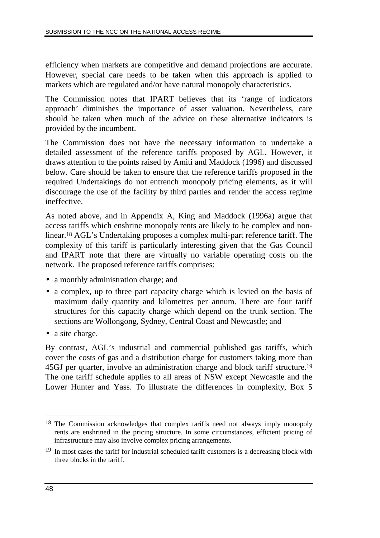efficiency when markets are competitive and demand projections are accurate. However, special care needs to be taken when this approach is applied to markets which are regulated and/or have natural monopoly characteristics.

The Commission notes that IPART believes that its 'range of indicators approach' diminishes the importance of asset valuation. Nevertheless, care should be taken when much of the advice on these alternative indicators is provided by the incumbent.

The Commission does not have the necessary information to undertake a detailed assessment of the reference tariffs proposed by AGL. However, it draws attention to the points raised by Amiti and Maddock (1996) and discussed below. Care should be taken to ensure that the reference tariffs proposed in the required Undertakings do not entrench monopoly pricing elements, as it will discourage the use of the facility by third parties and render the access regime ineffective.

As noted above, and in Appendix A, King and Maddock (1996a) argue that access tariffs which enshrine monopoly rents are likely to be complex and nonlinear.18 AGL's Undertaking proposes a complex multi-part reference tariff. The complexity of this tariff is particularly interesting given that the Gas Council and IPART note that there are virtually no variable operating costs on the network. The proposed reference tariffs comprises:

- a monthly administration charge; and
- a complex, up to three part capacity charge which is levied on the basis of maximum daily quantity and kilometres per annum. There are four tariff structures for this capacity charge which depend on the trunk section. The sections are Wollongong, Sydney, Central Coast and Newcastle; and
- a site charge.

By contrast, AGL's industrial and commercial published gas tariffs, which cover the costs of gas and a distribution charge for customers taking more than 45GJ per quarter, involve an administration charge and block tariff structure.19 The one tariff schedule applies to all areas of NSW except Newcastle and the Lower Hunter and Yass. To illustrate the differences in complexity, Box 5

 $\overline{a}$ 

<sup>18</sup> The Commission acknowledges that complex tariffs need not always imply monopoly rents are enshrined in the pricing structure. In some circumstances, efficient pricing of infrastructure may also involve complex pricing arrangements.

<sup>&</sup>lt;sup>19</sup> In most cases the tariff for industrial scheduled tariff customers is a decreasing block with three blocks in the tariff.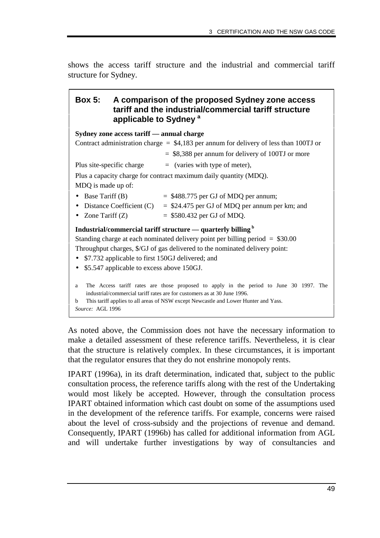shows the access tariff structure and the industrial and commercial tariff structure for Sydney.

## **Box 5: A comparison of the proposed Sydney zone access tariff and the industrial/commercial tariff structure applicable to Sydney a**

**Sydney zone access tariff — annual charge** Contract administration charge  $=$  \$4,183 per annum for delivery of less than 100TJ or = \$8,388 per annum for delivery of 100TJ or more Plus site-specific charge  $=$  (varies with type of meter), Plus a capacity charge for contract maximum daily quantity (MDQ). MDQ is made up of: • Base Tariff (B)  $= $488.775$  per GJ of MDQ per annum; • Distance Coefficient (C)  $=$  \$24.475 per GJ of MDQ per annum per km; and • Zone Tariff  $(Z)$  = \$580.432 per GJ of MDQ. **Industrial/commercial tariff structure — quarterly billing<sup>b</sup>** Standing charge at each nominated delivery point per billing period = \$30.00 Throughput charges, \$/GJ of gas delivered to the nominated delivery point: • \$7.732 applicable to first 150GJ delivered; and • \$5.547 applicable to excess above 150GJ. a The Access tariff rates are those proposed to apply in the period to June 30 1997. The industrial/commercial tariff rates are for customers as at 30 June 1996.

b This tariff applies to all areas of NSW except Newcastle and Lower Hunter and Yass. *Source:* AGL 1996

As noted above, the Commission does not have the necessary information to make a detailed assessment of these reference tariffs. Nevertheless, it is clear that the structure is relatively complex. In these circumstances, it is important that the regulator ensures that they do not enshrine monopoly rents.

IPART (1996a), in its draft determination, indicated that, subject to the public consultation process, the reference tariffs along with the rest of the Undertaking would most likely be accepted. However, through the consultation process IPART obtained information which cast doubt on some of the assumptions used in the development of the reference tariffs. For example, concerns were raised about the level of cross-subsidy and the projections of revenue and demand. Consequently, IPART (1996b) has called for additional information from AGL and will undertake further investigations by way of consultancies and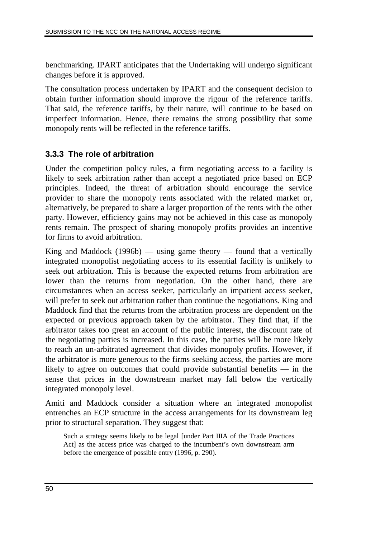benchmarking. IPART anticipates that the Undertaking will undergo significant changes before it is approved.

The consultation process undertaken by IPART and the consequent decision to obtain further information should improve the rigour of the reference tariffs. That said, the reference tariffs, by their nature, will continue to be based on imperfect information. Hence, there remains the strong possibility that some monopoly rents will be reflected in the reference tariffs.

## **3.3.3 The role of arbitration**

Under the competition policy rules, a firm negotiating access to a facility is likely to seek arbitration rather than accept a negotiated price based on ECP principles. Indeed, the threat of arbitration should encourage the service provider to share the monopoly rents associated with the related market or, alternatively, be prepared to share a larger proportion of the rents with the other party. However, efficiency gains may not be achieved in this case as monopoly rents remain. The prospect of sharing monopoly profits provides an incentive for firms to avoid arbitration.

King and Maddock  $(1996b)$  — using game theory — found that a vertically integrated monopolist negotiating access to its essential facility is unlikely to seek out arbitration. This is because the expected returns from arbitration are lower than the returns from negotiation. On the other hand, there are circumstances when an access seeker, particularly an impatient access seeker, will prefer to seek out arbitration rather than continue the negotiations. King and Maddock find that the returns from the arbitration process are dependent on the expected or previous approach taken by the arbitrator. They find that, if the arbitrator takes too great an account of the public interest, the discount rate of the negotiating parties is increased. In this case, the parties will be more likely to reach an un-arbitrated agreement that divides monopoly profits. However, if the arbitrator is more generous to the firms seeking access, the parties are more likely to agree on outcomes that could provide substantial benefits — in the sense that prices in the downstream market may fall below the vertically integrated monopoly level.

Amiti and Maddock consider a situation where an integrated monopolist entrenches an ECP structure in the access arrangements for its downstream leg prior to structural separation. They suggest that:

Such a strategy seems likely to be legal [under Part IIIA of the Trade Practices Act] as the access price was charged to the incumbent's own downstream arm before the emergence of possible entry (1996, p. 290).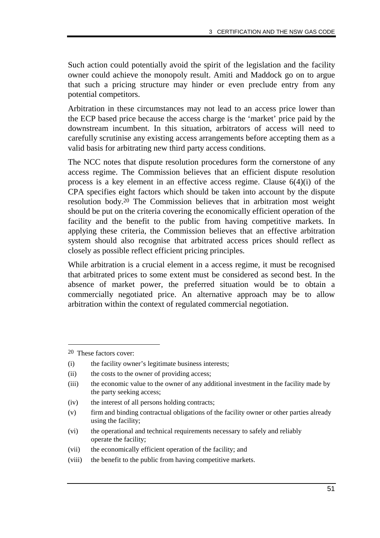Such action could potentially avoid the spirit of the legislation and the facility owner could achieve the monopoly result. Amiti and Maddock go on to argue that such a pricing structure may hinder or even preclude entry from any potential competitors.

Arbitration in these circumstances may not lead to an access price lower than the ECP based price because the access charge is the 'market' price paid by the downstream incumbent. In this situation, arbitrators of access will need to carefully scrutinise any existing access arrangements before accepting them as a valid basis for arbitrating new third party access conditions.

The NCC notes that dispute resolution procedures form the cornerstone of any access regime. The Commission believes that an efficient dispute resolution process is a key element in an effective access regime. Clause 6(4)(i) of the CPA specifies eight factors which should be taken into account by the dispute resolution body.20 The Commission believes that in arbitration most weight should be put on the criteria covering the economically efficient operation of the facility and the benefit to the public from having competitive markets. In applying these criteria, the Commission believes that an effective arbitration system should also recognise that arbitrated access prices should reflect as closely as possible reflect efficient pricing principles.

While arbitration is a crucial element in a access regime, it must be recognised that arbitrated prices to some extent must be considered as second best. In the absence of market power, the preferred situation would be to obtain a commercially negotiated price. An alternative approach may be to allow arbitration within the context of regulated commercial negotiation.

-

<sup>20</sup> These factors cover:

<sup>(</sup>i) the facility owner's legitimate business interests;

<sup>(</sup>ii) the costs to the owner of providing access;

<sup>(</sup>iii) the economic value to the owner of any additional investment in the facility made by the party seeking access;

<sup>(</sup>iv) the interest of all persons holding contracts;

<sup>(</sup>v) firm and binding contractual obligations of the facility owner or other parties already using the facility;

<sup>(</sup>vi) the operational and technical requirements necessary to safely and reliably operate the facility;

<sup>(</sup>vii) the economically efficient operation of the facility; and

<sup>(</sup>viii) the benefit to the public from having competitive markets.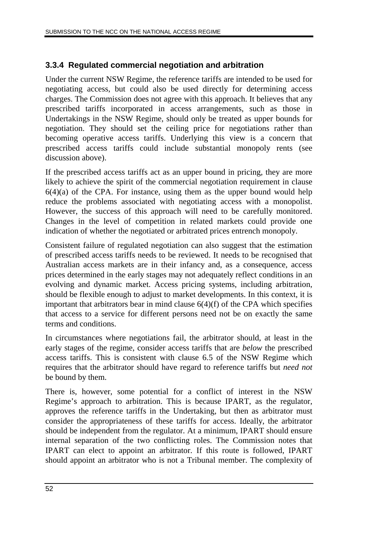## **3.3.4 Regulated commercial negotiation and arbitration**

Under the current NSW Regime, the reference tariffs are intended to be used for negotiating access, but could also be used directly for determining access charges. The Commission does not agree with this approach. It believes that any prescribed tariffs incorporated in access arrangements, such as those in Undertakings in the NSW Regime, should only be treated as upper bounds for negotiation. They should set the ceiling price for negotiations rather than becoming operative access tariffs. Underlying this view is a concern that prescribed access tariffs could include substantial monopoly rents (see discussion above).

If the prescribed access tariffs act as an upper bound in pricing, they are more likely to achieve the spirit of the commercial negotiation requirement in clause  $6(4)(a)$  of the CPA. For instance, using them as the upper bound would help reduce the problems associated with negotiating access with a monopolist. However, the success of this approach will need to be carefully monitored. Changes in the level of competition in related markets could provide one indication of whether the negotiated or arbitrated prices entrench monopoly.

Consistent failure of regulated negotiation can also suggest that the estimation of prescribed access tariffs needs to be reviewed. It needs to be recognised that Australian access markets are in their infancy and, as a consequence, access prices determined in the early stages may not adequately reflect conditions in an evolving and dynamic market. Access pricing systems, including arbitration, should be flexible enough to adjust to market developments. In this context, it is important that arbitrators bear in mind clause 6(4)(f) of the CPA which specifies that access to a service for different persons need not be on exactly the same terms and conditions.

In circumstances where negotiations fail, the arbitrator should, at least in the early stages of the regime, consider access tariffs that are *below* the prescribed access tariffs. This is consistent with clause 6.5 of the NSW Regime which requires that the arbitrator should have regard to reference tariffs but *need not* be bound by them.

There is, however, some potential for a conflict of interest in the NSW Regime's approach to arbitration. This is because IPART, as the regulator, approves the reference tariffs in the Undertaking, but then as arbitrator must consider the appropriateness of these tariffs for access. Ideally, the arbitrator should be independent from the regulator. At a minimum, IPART should ensure internal separation of the two conflicting roles. The Commission notes that IPART can elect to appoint an arbitrator. If this route is followed, IPART should appoint an arbitrator who is not a Tribunal member. The complexity of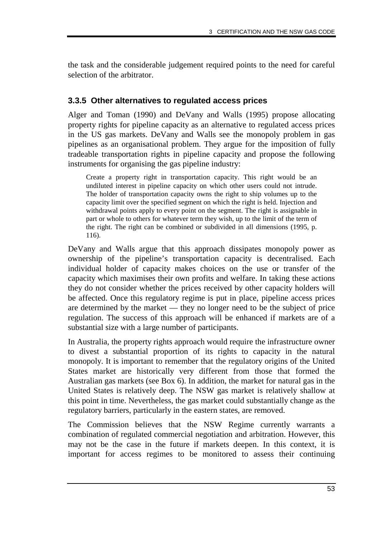the task and the considerable judgement required points to the need for careful selection of the arbitrator.

## **3.3.5 Other alternatives to regulated access prices**

Alger and Toman (1990) and DeVany and Walls (1995) propose allocating property rights for pipeline capacity as an alternative to regulated access prices in the US gas markets. DeVany and Walls see the monopoly problem in gas pipelines as an organisational problem. They argue for the imposition of fully tradeable transportation rights in pipeline capacity and propose the following instruments for organising the gas pipeline industry:

Create a property right in transportation capacity. This right would be an undiluted interest in pipeline capacity on which other users could not intrude. The holder of transportation capacity owns the right to ship volumes up to the capacity limit over the specified segment on which the right is held. Injection and withdrawal points apply to every point on the segment. The right is assignable in part or whole to others for whatever term they wish, up to the limit of the term of the right. The right can be combined or subdivided in all dimensions (1995, p. 116).

DeVany and Walls argue that this approach dissipates monopoly power as ownership of the pipeline's transportation capacity is decentralised. Each individual holder of capacity makes choices on the use or transfer of the capacity which maximises their own profits and welfare. In taking these actions they do not consider whether the prices received by other capacity holders will be affected. Once this regulatory regime is put in place, pipeline access prices are determined by the market — they no longer need to be the subject of price regulation. The success of this approach will be enhanced if markets are of a substantial size with a large number of participants.

In Australia, the property rights approach would require the infrastructure owner to divest a substantial proportion of its rights to capacity in the natural monopoly. It is important to remember that the regulatory origins of the United States market are historically very different from those that formed the Australian gas markets (see Box 6). In addition, the market for natural gas in the United States is relatively deep. The NSW gas market is relatively shallow at this point in time. Nevertheless, the gas market could substantially change as the regulatory barriers, particularly in the eastern states, are removed.

The Commission believes that the NSW Regime currently warrants a combination of regulated commercial negotiation and arbitration. However, this may not be the case in the future if markets deepen. In this context, it is important for access regimes to be monitored to assess their continuing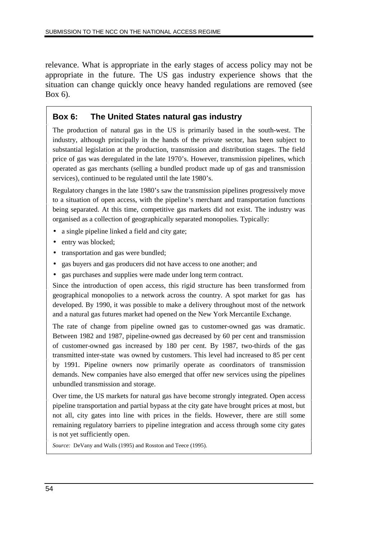relevance. What is appropriate in the early stages of access policy may not be appropriate in the future. The US gas industry experience shows that the situation can change quickly once heavy handed regulations are removed (see Box 6).

#### **Box 6: The United States natural gas industry**

The production of natural gas in the US is primarily based in the south-west. The industry, although principally in the hands of the private sector, has been subject to substantial legislation at the production, transmission and distribution stages. The field price of gas was deregulated in the late 1970's. However, transmission pipelines, which operated as gas merchants (selling a bundled product made up of gas and transmission services), continued to be regulated until the late 1980's.

Regulatory changes in the late 1980's saw the transmission pipelines progressively move to a situation of open access, with the pipeline's merchant and transportation functions being separated. At this time, competitive gas markets did not exist. The industry was organised as a collection of geographically separated monopolies. Typically:

- a single pipeline linked a field and city gate;
- entry was blocked;
- transportation and gas were bundled;
- gas buyers and gas producers did not have access to one another; and
- gas purchases and supplies were made under long term contract.

Since the introduction of open access, this rigid structure has been transformed from geographical monopolies to a network across the country. A spot market for gas has developed. By 1990, it was possible to make a delivery throughout most of the network and a natural gas futures market had opened on the New York Mercantile Exchange.

The rate of change from pipeline owned gas to customer-owned gas was dramatic. Between 1982 and 1987, pipeline-owned gas decreased by 60 per cent and transmission of customer-owned gas increased by 180 per cent. By 1987, two-thirds of the gas transmitted inter-state was owned by customers. This level had increased to 85 per cent by 1991. Pipeline owners now primarily operate as coordinators of transmission demands. New companies have also emerged that offer new services using the pipelines unbundled transmission and storage.

Over time, the US markets for natural gas have become strongly integrated. Open access pipeline transportation and partial bypass at the city gate have brought prices at most, but not all, city gates into line with prices in the fields. However, there are still some remaining regulatory barriers to pipeline integration and access through some city gates is not yet sufficiently open.

*Source:* DeVany and Walls (1995) and Rosston and Teece (1995).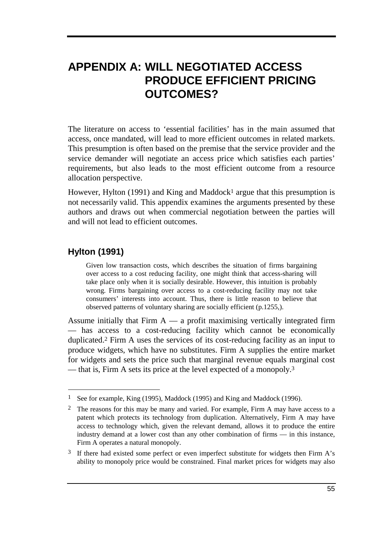# **APPENDIX A: WILL NEGOTIATED ACCESS PRODUCE EFFICIENT PRICING OUTCOMES?**

The literature on access to 'essential facilities' has in the main assumed that access, once mandated, will lead to more efficient outcomes in related markets. This presumption is often based on the premise that the service provider and the service demander will negotiate an access price which satisfies each parties' requirements, but also leads to the most efficient outcome from a resource allocation perspective.

However, Hylton (1991) and King and Maddock<sup>1</sup> argue that this presumption is not necessarily valid. This appendix examines the arguments presented by these authors and draws out when commercial negotiation between the parties will and will not lead to efficient outcomes.

## **Hylton (1991)**

-

Given low transaction costs, which describes the situation of firms bargaining over access to a cost reducing facility, one might think that access-sharing will take place only when it is socially desirable. However, this intuition is probably wrong. Firms bargaining over access to a cost-reducing facility may not take consumers' interests into account. Thus, there is little reason to believe that observed patterns of voluntary sharing are socially efficient (p.1255,).

Assume initially that Firm  $A - a$  profit maximising vertically integrated firm — has access to a cost-reducing facility which cannot be economically duplicated.2 Firm A uses the services of its cost-reducing facility as an input to produce widgets, which have no substitutes. Firm A supplies the entire market for widgets and sets the price such that marginal revenue equals marginal cost — that is, Firm A sets its price at the level expected of a monopoly.<sup>3</sup>

<sup>1</sup> See for example, King (1995), Maddock (1995) and King and Maddock (1996).

<sup>&</sup>lt;sup>2</sup> The reasons for this may be many and varied. For example, Firm A may have access to a patent which protects its technology from duplication. Alternatively, Firm A may have access to technology which, given the relevant demand, allows it to produce the entire industry demand at a lower cost than any other combination of firms — in this instance, Firm A operates a natural monopoly.

 $3\,$  If there had existed some perfect or even imperfect substitute for widgets then Firm A's ability to monopoly price would be constrained. Final market prices for widgets may also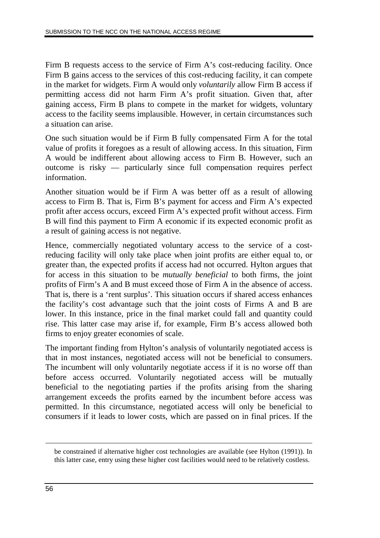Firm B requests access to the service of Firm A's cost-reducing facility. Once Firm B gains access to the services of this cost-reducing facility, it can compete in the market for widgets. Firm A would only *voluntarily* allow Firm B access if permitting access did not harm Firm A's profit situation. Given that, after gaining access, Firm B plans to compete in the market for widgets, voluntary access to the facility seems implausible. However, in certain circumstances such a situation can arise.

One such situation would be if Firm B fully compensated Firm A for the total value of profits it foregoes as a result of allowing access. In this situation, Firm A would be indifferent about allowing access to Firm B. However, such an outcome is risky — particularly since full compensation requires perfect information.

Another situation would be if Firm A was better off as a result of allowing access to Firm B. That is, Firm B's payment for access and Firm A's expected profit after access occurs, exceed Firm A's expected profit without access. Firm B will find this payment to Firm A economic if its expected economic profit as a result of gaining access is not negative.

Hence, commercially negotiated voluntary access to the service of a costreducing facility will only take place when joint profits are either equal to, or greater than, the expected profits if access had not occurred. Hylton argues that for access in this situation to be *mutually beneficial* to both firms, the joint profits of Firm's A and B must exceed those of Firm A in the absence of access. That is, there is a 'rent surplus'. This situation occurs if shared access enhances the facility's cost advantage such that the joint costs of Firms A and B are lower. In this instance, price in the final market could fall and quantity could rise. This latter case may arise if, for example, Firm B's access allowed both firms to enjoy greater economies of scale.

The important finding from Hylton's analysis of voluntarily negotiated access is that in most instances, negotiated access will not be beneficial to consumers. The incumbent will only voluntarily negotiate access if it is no worse off than before access occurred. Voluntarily negotiated access will be mutually beneficial to the negotiating parties if the profits arising from the sharing arrangement exceeds the profits earned by the incumbent before access was permitted. In this circumstance, negotiated access will only be beneficial to consumers if it leads to lower costs, which are passed on in final prices. If the

 $\overline{a}$ 

be constrained if alternative higher cost technologies are available (see Hylton (1991)). In this latter case, entry using these higher cost facilities would need to be relatively costless.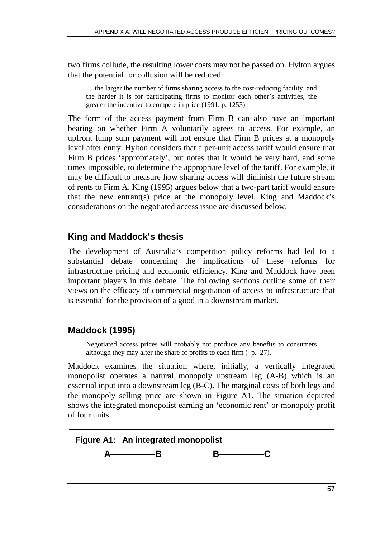two firms collude, the resulting lower costs may not be passed on. Hylton argues that the potential for collusion will be reduced:

... the larger the number of firms sharing access to the cost-reducing facility, and the harder it is for participating firms to monitor each other's activities, the greater the incentive to compete in price (1991, p. 1253).

The form of the access payment from Firm B can also have an important bearing on whether Firm A voluntarily agrees to access. For example, an upfront lump sum payment will not ensure that Firm B prices at a monopoly level after entry. Hylton considers that a per-unit access tariff would ensure that Firm B prices 'appropriately', but notes that it would be very hard, and some times impossible, to determine the appropriate level of the tariff. For example, it may be difficult to measure how sharing access will diminish the future stream of rents to Firm A. King (1995) argues below that a two-part tariff would ensure that the new entrant(s) price at the monopoly level. King and Maddock's considerations on the negotiated access issue are discussed below.

## **King and Maddock's thesis**

The development of Australia's competition policy reforms had led to a substantial debate concerning the implications of these reforms for infrastructure pricing and economic efficiency. King and Maddock have been important players in this debate. The following sections outline some of their views on the efficacy of commercial negotiation of access to infrastructure that is essential for the provision of a good in a downstream market.

## **Maddock (1995)**

Negotiated access prices will probably not produce any benefits to consumers although they may alter the share of profits to each firm ( p. 27).

Maddock examines the situation where, initially, a vertically integrated monopolist operates a natural monopoly upstream leg (A-B) which is an essential input into a downstream leg (B-C). The marginal costs of both legs and the monopoly selling price are shown in Figure A1. The situation depicted shows the integrated monopolist earning an 'economic rent' or monopoly profit of four units.

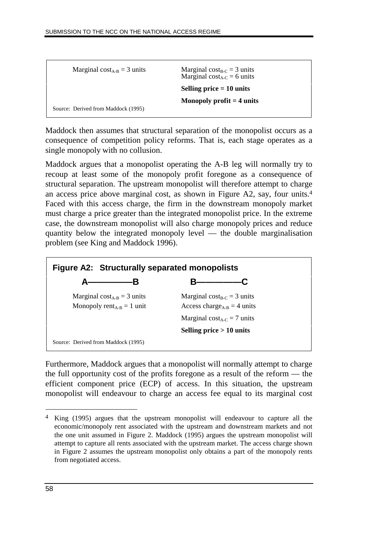| Marginal cost <sub>A-B</sub> = 3 units | Marginal cost <sub>B-C</sub> = 3 units<br>Marginal cost <sub>A-C</sub> = 6 units |
|----------------------------------------|----------------------------------------------------------------------------------|
|                                        | Selling price $= 10$ units                                                       |
|                                        | Monopoly profit $=$ 4 units                                                      |
| Source: Derived from Maddock (1995)    |                                                                                  |

Maddock then assumes that structural separation of the monopolist occurs as a consequence of competition policy reforms. That is, each stage operates as a single monopoly with no collusion.

Maddock argues that a monopolist operating the A-B leg will normally try to recoup at least some of the monopoly profit foregone as a consequence of structural separation. The upstream monopolist will therefore attempt to charge an access price above marginal cost, as shown in Figure A2, say, four units.4 Faced with this access charge, the firm in the downstream monopoly market must charge a price greater than the integrated monopolist price. In the extreme case, the downstream monopolist will also charge monopoly prices and reduce quantity below the integrated monopoly level — the double marginalisation problem (see King and Maddock 1996).



Furthermore, Maddock argues that a monopolist will normally attempt to charge the full opportunity cost of the profits foregone as a result of the reform — the efficient component price (ECP) of access. In this situation, the upstream monopolist will endeavour to charge an access fee equal to its marginal cost

 $\overline{a}$ 

<sup>4</sup> King (1995) argues that the upstream monopolist will endeavour to capture all the economic/monopoly rent associated with the upstream and downstream markets and not the one unit assumed in Figure 2. Maddock (1995) argues the upstream monopolist will attempt to capture all rents associated with the upstream market. The access charge shown in Figure 2 assumes the upstream monopolist only obtains a part of the monopoly rents from negotiated access.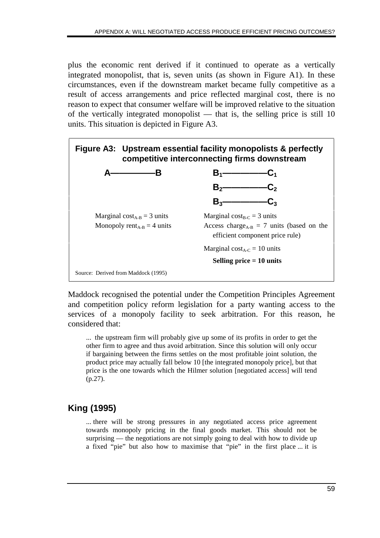plus the economic rent derived if it continued to operate as a vertically integrated monopolist, that is, seven units (as shown in Figure A1). In these circumstances, even if the downstream market became fully competitive as a result of access arrangements and price reflected marginal cost, there is no reason to expect that consumer welfare will be improved relative to the situation of the vertically integrated monopolist — that is, the selling price is still 10 units. This situation is depicted in Figure A3.



Maddock recognised the potential under the Competition Principles Agreement and competition policy reform legislation for a party wanting access to the services of a monopoly facility to seek arbitration. For this reason, he considered that:

... the upstream firm will probably give up some of its profits in order to get the other firm to agree and thus avoid arbitration. Since this solution will only occur if bargaining between the firms settles on the most profitable joint solution, the product price may actually fall below 10 [the integrated monopoly price], but that price is the one towards which the Hilmer solution [negotiated access] will tend (p.27).

# **King (1995)**

... there will be strong pressures in any negotiated access price agreement towards monopoly pricing in the final goods market. This should not be surprising — the negotiations are not simply going to deal with how to divide up a fixed "pie" but also how to maximise that "pie" in the first place ... it is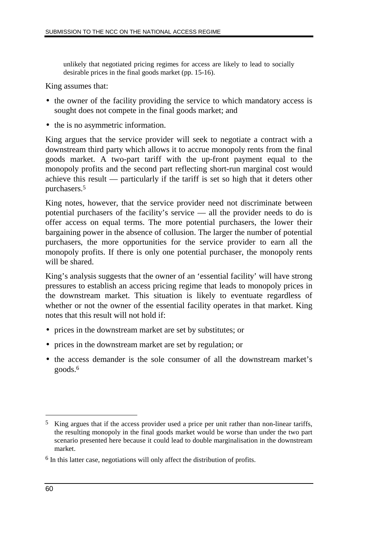unlikely that negotiated pricing regimes for access are likely to lead to socially desirable prices in the final goods market (pp. 15-16).

King assumes that:

- the owner of the facility providing the service to which mandatory access is sought does not compete in the final goods market; and
- the is no asymmetric information.

King argues that the service provider will seek to negotiate a contract with a downstream third party which allows it to accrue monopoly rents from the final goods market. A two-part tariff with the up-front payment equal to the monopoly profits and the second part reflecting short-run marginal cost would achieve this result — particularly if the tariff is set so high that it deters other purchasers.5

King notes, however, that the service provider need not discriminate between potential purchasers of the facility's service — all the provider needs to do is offer access on equal terms. The more potential purchasers, the lower their bargaining power in the absence of collusion. The larger the number of potential purchasers, the more opportunities for the service provider to earn all the monopoly profits. If there is only one potential purchaser, the monopoly rents will be shared.

King's analysis suggests that the owner of an 'essential facility' will have strong pressures to establish an access pricing regime that leads to monopoly prices in the downstream market. This situation is likely to eventuate regardless of whether or not the owner of the essential facility operates in that market. King notes that this result will not hold if:

- prices in the downstream market are set by substitutes; or
- prices in the downstream market are set by regulation; or
- the access demander is the sole consumer of all the downstream market's goods.6

 $\overline{a}$ 

<sup>5</sup> King argues that if the access provider used a price per unit rather than non-linear tariffs, the resulting monopoly in the final goods market would be worse than under the two part scenario presented here because it could lead to double marginalisation in the downstream market.

<sup>6</sup> In this latter case, negotiations will only affect the distribution of profits.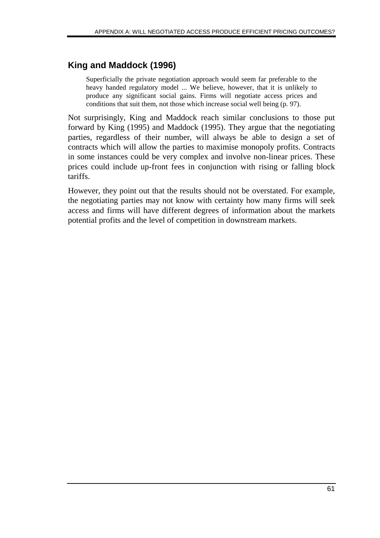## **King and Maddock (1996)**

Superficially the private negotiation approach would seem far preferable to the heavy handed regulatory model ... We believe, however, that it is unlikely to produce any significant social gains. Firms will negotiate access prices and conditions that suit them, not those which increase social well being (p. 97).

Not surprisingly, King and Maddock reach similar conclusions to those put forward by King (1995) and Maddock (1995). They argue that the negotiating parties, regardless of their number, will always be able to design a set of contracts which will allow the parties to maximise monopoly profits. Contracts in some instances could be very complex and involve non-linear prices. These prices could include up-front fees in conjunction with rising or falling block tariffs.

However, they point out that the results should not be overstated. For example, the negotiating parties may not know with certainty how many firms will seek access and firms will have different degrees of information about the markets potential profits and the level of competition in downstream markets.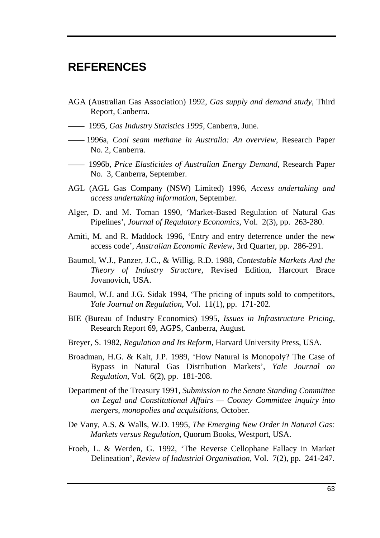# **REFERENCES**

- AGA (Australian Gas Association) 1992, *Gas supply and demand study*, Third Report, Canberra.
- —— 1995, *Gas Industry Statistics 1995*, Canberra, June.
- —— 1996a, *Coal seam methane in Australia: An overview*, Research Paper No. 2, Canberra.
- —— 1996b, *Price Elasticities of Australian Energy Demand*, Research Paper No. 3, Canberra, September.
- AGL (AGL Gas Company (NSW) Limited) 1996*, Access undertaking and access undertaking information*, September.
- Alger, D. and M. Toman 1990, 'Market-Based Regulation of Natural Gas Pipelines', *Journal of Regulatory Economics*, Vol. 2(3), pp. 263-280.
- Amiti, M. and R. Maddock 1996, 'Entry and entry deterrence under the new access code', *Australian Economic Review*, 3rd Quarter, pp. 286-291.
- Baumol, W.J., Panzer, J.C., & Willig, R.D. 1988, *Contestable Markets And the Theory of Industry Structure*, Revised Edition, Harcourt Brace Jovanovich, USA.
- Baumol, W.J. and J.G. Sidak 1994, 'The pricing of inputs sold to competitors, *Yale Journal on Regulation*, Vol. 11(1), pp. 171-202.
- BIE (Bureau of Industry Economics) 1995, *Issues in Infrastructure Pricing*, Research Report 69, AGPS, Canberra, August.
- Breyer, S. 1982, *Regulation and Its Reform*, Harvard University Press, USA.
- Broadman, H.G. & Kalt, J.P. 1989, 'How Natural is Monopoly? The Case of Bypass in Natural Gas Distribution Markets', *Yale Journal on Regulation*, Vol. 6(2), pp. 181-208.
- Department of the Treasury 1991, *Submission to the Senate Standing Committee on Legal and Constitutional Affairs — Cooney Committee inquiry into mergers, monopolies and acquisitions*, October.
- De Vany, A.S. & Walls, W.D. 1995, *The Emerging New Order in Natural Gas: Markets versus Regulation*, Quorum Books, Westport, USA.
- Froeb, L. & Werden, G. 1992, 'The Reverse Cellophane Fallacy in Market Delineation', *Review of Industrial Organisation*, Vol. 7(2), pp. 241-247.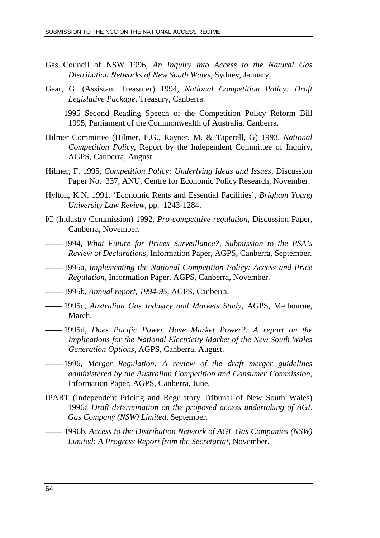- Gas Council of NSW 1996, *An Inquiry into Access to the Natural Gas Distribution Networks of New South Wales*, Sydney, January.
- Gear, G. (Assistant Treasurer) 1994, *National Competition Policy: Draft Legislative Package*, Treasury, Canberra.
- —— 1995 Second Reading Speech of the Competition Policy Reform Bill 1995, Parliament of the Commonwealth of Australia, Canberra.
- Hilmer Committee (Hilmer, F.G., Rayner, M. & Taperell, G) 1993, *National Competition Policy*, Report by the Independent Committee of Inquiry, AGPS, Canberra, August.
- Hilmer, F. 1995, *Competition Policy: Underlying Ideas and Issues*, Discussion Paper No. 337, ANU, Centre for Economic Policy Research, November.
- Hylton, K.N. 1991, 'Economic Rents and Essential Facilities', *Brigham Young University Law Review*, pp. 1243-1284.
- IC (Industry Commission) 1992, *Pro-competitive regulation*, Discussion Paper, Canberra, November.
- —— 1994, *What Future for Prices Surveillance?, Submission to the PSA's Review of Declarations,* Information Paper, AGPS, Canberra, September.
- —— 1995a, *Implementing the National Competition Policy: Access and Price Regulation*, Information Paper, AGPS, Canberra, November.
- —— 1995b, *Annual report, 1994-95*, AGPS, Canberra.
- —— 1995c, *Australian Gas Industry and Markets Study*, AGPS, Melbourne, March.
- —— 1995d, *Does Pacific Power Have Market Power?: A report on the Implications for the National Electricity Market of the New South Wales Generation Options*, AGPS, Canberra, August.
- —— 1996, *Merger Regulation: A review of the draft merger guidelines administered by the Australian Competition and Consumer Commission*, Information Paper, AGPS, Canberra, June.
- IPART (Independent Pricing and Regulatory Tribunal of New South Wales) 1996a *Draft determination on the proposed access undertaking of AGL Gas Company (NSW) Limited*, September.
- —— 1996b, *Access to the Distribution Network of AGL Gas Companies (NSW) Limited: A Progress Report from the Secretariat*, November.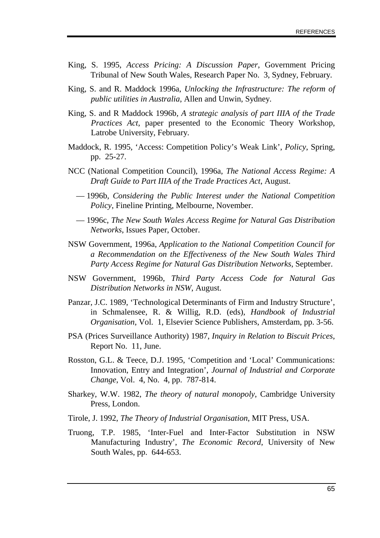- King, S. 1995, *Access Pricing: A Discussion Paper*, Government Pricing Tribunal of New South Wales, Research Paper No. 3, Sydney, February.
- King, S. and R. Maddock 1996a, *Unlocking the Infrastructure: The reform of public utilities in Australia*, Allen and Unwin, Sydney.
- King, S. and R Maddock 1996b*, A strategic analysis of part IIIA of the Trade Practices Act*, paper presented to the Economic Theory Workshop, Latrobe University, February.
- Maddock, R. 1995, 'Access: Competition Policy's Weak Link', *Policy*, Spring, pp. 25-27.
- NCC (National Competition Council), 1996a, *The National Access Regime: A Draft Guide to Part IIIA of the Trade Practices Act*, August.
- 1996b, *Considering the Public Interest under the National Competition Policy*, Fineline Printing, Melbourne, November.
- 1996c, *The New South Wales Access Regime for Natural Gas Distribution Networks*, Issues Paper, October.
- NSW Government, 1996a, *Application to the National Competition Council for a Recommendation on the Effectiveness of the New South Wales Third Party Access Regime for Natural Gas Distribution Networks*, September.
- NSW Government, 1996b, *Third Party Access Code for Natural Gas Distribution Networks in NSW*, August.
- Panzar, J.C. 1989, 'Technological Determinants of Firm and Industry Structure', in Schmalensee, R. & Willig, R.D. (eds), *Handbook of Industrial Organisation*, Vol. 1, Elsevier Science Publishers, Amsterdam, pp. 3-56.
- PSA (Prices Surveillance Authority) 1987, *Inquiry in Relation to Biscuit Prices*, Report No. 11, June.
- Rosston, G.L. & Teece, D.J. 1995, 'Competition and 'Local' Communications: Innovation, Entry and Integration', *Journal of Industrial and Corporate Change*, Vol. 4, No. 4, pp. 787-814.
- Sharkey, W.W. 1982, *The theory of natural monopoly*, Cambridge University Press, London.
- Tirole, J. 1992, *The Theory of Industrial Organisation*, MIT Press, USA.
- Truong, T.P. 1985, 'Inter-Fuel and Inter-Factor Substitution in NSW Manufacturing Industry', *The Economic Record*, University of New South Wales, pp. 644-653.